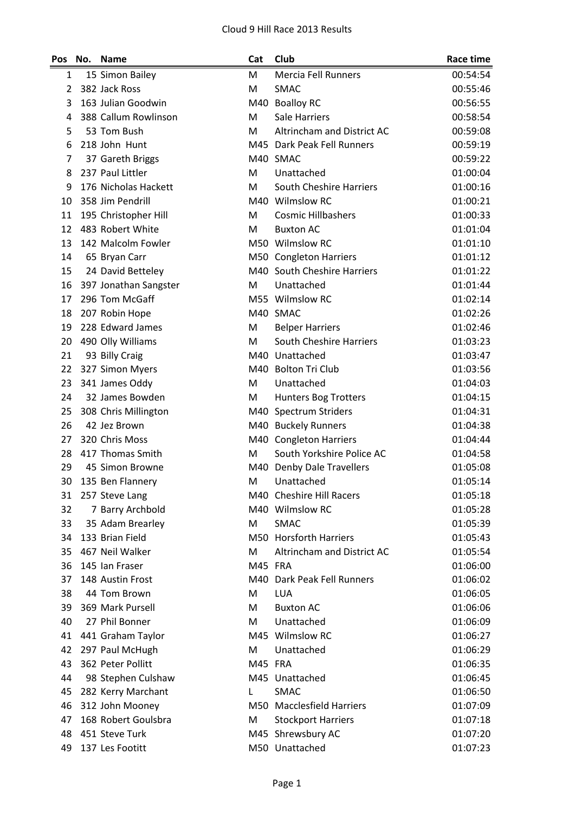| Pos | No. | <b>Name</b>           | Cat     | Club                         | Race time |
|-----|-----|-----------------------|---------|------------------------------|-----------|
| 1   |     | 15 Simon Bailey       | M       | <b>Mercia Fell Runners</b>   | 00:54:54  |
| 2   |     | 382 Jack Ross         | M       | SMAC                         | 00:55:46  |
| 3   |     | 163 Julian Goodwin    | M40     | <b>Boalloy RC</b>            | 00:56:55  |
| 4   |     | 388 Callum Rowlinson  | M       | <b>Sale Harriers</b>         | 00:58:54  |
| 5   |     | 53 Tom Bush           | M       | Altrincham and District AC   | 00:59:08  |
| 6   |     | 218 John Hunt         |         | M45 Dark Peak Fell Runners   | 00:59:19  |
| 7   |     | 37 Gareth Briggs      |         | M40 SMAC                     | 00:59:22  |
| 8   |     | 237 Paul Littler      | M       | Unattached                   | 01:00:04  |
| 9   |     | 176 Nicholas Hackett  | M       | South Cheshire Harriers      | 01:00:16  |
| 10  |     | 358 Jim Pendrill      |         | M40 Wilmslow RC              | 01:00:21  |
| 11  |     | 195 Christopher Hill  | M       | <b>Cosmic Hillbashers</b>    | 01:00:33  |
| 12  |     | 483 Robert White      | M       | <b>Buxton AC</b>             | 01:01:04  |
| 13  |     | 142 Malcolm Fowler    |         | M50 Wilmslow RC              | 01:01:10  |
| 14  |     | 65 Bryan Carr         |         | M50 Congleton Harriers       | 01:01:12  |
| 15  |     | 24 David Betteley     |         | M40 South Cheshire Harriers  | 01:01:22  |
| 16  |     | 397 Jonathan Sangster | М       | Unattached                   | 01:01:44  |
| 17  |     | 296 Tom McGaff        |         | M55 Wilmslow RC              | 01:02:14  |
| 18  |     | 207 Robin Hope        |         | M40 SMAC                     | 01:02:26  |
| 19  |     | 228 Edward James      | М       | <b>Belper Harriers</b>       | 01:02:46  |
| 20  |     | 490 Olly Williams     | М       | South Cheshire Harriers      | 01:03:23  |
| 21  |     | 93 Billy Craig        |         | M40 Unattached               | 01:03:47  |
| 22  |     | 327 Simon Myers       |         | M40 Bolton Tri Club          | 01:03:56  |
| 23  |     | 341 James Oddy        | M       | Unattached                   | 01:04:03  |
| 24  |     | 32 James Bowden       | M       | Hunters Bog Trotters         | 01:04:15  |
| 25  |     | 308 Chris Millington  |         | M40 Spectrum Striders        | 01:04:31  |
| 26  |     | 42 Jez Brown          |         | M40 Buckely Runners          | 01:04:38  |
| 27  |     | 320 Chris Moss        |         | M40 Congleton Harriers       | 01:04:44  |
| 28  |     | 417 Thomas Smith      | M       | South Yorkshire Police AC    | 01:04:58  |
| 29  |     | 45 Simon Browne       | M40     | Denby Dale Travellers        | 01:05:08  |
| 30  |     | 135 Ben Flannery      | M       | Unattached                   | 01:05:14  |
| 31  |     | 257 Steve Lang        |         | M40 Cheshire Hill Racers     | 01:05:18  |
| 32  |     | 7 Barry Archbold      |         | M40 Wilmslow RC              | 01:05:28  |
| 33  |     | 35 Adam Brearley      | M       | SMAC                         | 01:05:39  |
| 34  |     | 133 Brian Field       |         | M50 Horsforth Harriers       | 01:05:43  |
| 35  |     | 467 Neil Walker       | M       | Altrincham and District AC   | 01:05:54  |
| 36  |     | 145 Ian Fraser        | M45 FRA |                              | 01:06:00  |
| 37  |     | 148 Austin Frost      |         | M40 Dark Peak Fell Runners   | 01:06:02  |
| 38  |     | 44 Tom Brown          | M       | <b>LUA</b>                   | 01:06:05  |
| 39  |     | 369 Mark Pursell      | M       | <b>Buxton AC</b>             | 01:06:06  |
| 40  |     | 27 Phil Bonner        | М       | Unattached                   | 01:06:09  |
| 41  |     | 441 Graham Taylor     |         | M45 Wilmslow RC              | 01:06:27  |
| 42  |     | 297 Paul McHugh       | M       | Unattached                   | 01:06:29  |
| 43  |     | 362 Peter Pollitt     | M45 FRA |                              | 01:06:35  |
| 44  |     | 98 Stephen Culshaw    |         | M45 Unattached               | 01:06:45  |
| 45  |     | 282 Kerry Marchant    | L       | <b>SMAC</b>                  | 01:06:50  |
| 46  |     | 312 John Mooney       | M50     | <b>Macclesfield Harriers</b> | 01:07:09  |
| 47  |     | 168 Robert Goulsbra   | M       | <b>Stockport Harriers</b>    | 01:07:18  |
| 48  |     | 451 Steve Turk        |         | M45 Shrewsbury AC            | 01:07:20  |
| 49  |     | 137 Les Footitt       |         | M50 Unattached               | 01:07:23  |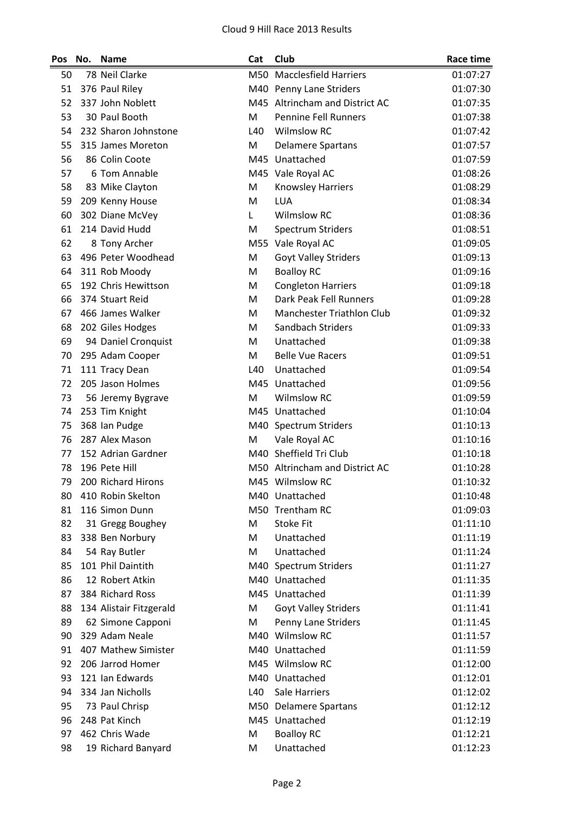| Pos | No. | <b>Name</b>             | Cat | Club                             | <b>Race time</b> |
|-----|-----|-------------------------|-----|----------------------------------|------------------|
| 50  |     | 78 Neil Clarke          |     | M50 Macclesfield Harriers        | 01:07:27         |
| 51  |     | 376 Paul Riley          |     | M40 Penny Lane Striders          | 01:07:30         |
| 52  |     | 337 John Noblett        |     | M45 Altrincham and District AC   | 01:07:35         |
| 53  |     | 30 Paul Booth           | M   | <b>Pennine Fell Runners</b>      | 01:07:38         |
| 54  |     | 232 Sharon Johnstone    | L40 | <b>Wilmslow RC</b>               | 01:07:42         |
| 55  |     | 315 James Moreton       | M   | <b>Delamere Spartans</b>         | 01:07:57         |
| 56  |     | 86 Colin Coote          |     | M45 Unattached                   | 01:07:59         |
| 57  |     | 6 Tom Annable           |     | M45 Vale Royal AC                | 01:08:26         |
| 58  |     | 83 Mike Clayton         | M   | <b>Knowsley Harriers</b>         | 01:08:29         |
| 59  |     | 209 Kenny House         | M   | <b>LUA</b>                       | 01:08:34         |
| 60  |     | 302 Diane McVey         | L   | <b>Wilmslow RC</b>               | 01:08:36         |
| 61  |     | 214 David Hudd          | M   | <b>Spectrum Striders</b>         | 01:08:51         |
| 62  |     | 8 Tony Archer           |     | M55 Vale Royal AC                | 01:09:05         |
| 63  |     | 496 Peter Woodhead      | M   | <b>Goyt Valley Striders</b>      | 01:09:13         |
| 64  |     | 311 Rob Moody           | M   | <b>Boalloy RC</b>                | 01:09:16         |
| 65  |     | 192 Chris Hewittson     | M   | <b>Congleton Harriers</b>        | 01:09:18         |
| 66  |     | 374 Stuart Reid         | M   | Dark Peak Fell Runners           | 01:09:28         |
| 67  |     | 466 James Walker        | M   | <b>Manchester Triathlon Club</b> | 01:09:32         |
| 68  |     | 202 Giles Hodges        | M   | Sandbach Striders                | 01:09:33         |
| 69  |     | 94 Daniel Cronquist     | M   | Unattached                       | 01:09:38         |
| 70  |     | 295 Adam Cooper         | M   | <b>Belle Vue Racers</b>          | 01:09:51         |
| 71  |     | 111 Tracy Dean          | L40 | Unattached                       | 01:09:54         |
| 72  |     | 205 Jason Holmes        |     | M45 Unattached                   | 01:09:56         |
| 73  |     | 56 Jeremy Bygrave       | M   | <b>Wilmslow RC</b>               | 01:09:59         |
| 74  |     | 253 Tim Knight          |     | M45 Unattached                   | 01:10:04         |
| 75  |     | 368 Ian Pudge           |     | M40 Spectrum Striders            | 01:10:13         |
| 76  |     | 287 Alex Mason          | M   | Vale Royal AC                    | 01:10:16         |
| 77  |     | 152 Adrian Gardner      |     | M40 Sheffield Tri Club           | 01:10:18         |
| 78  |     | 196 Pete Hill           |     | M50 Altrincham and District AC   | 01:10:28         |
| 79  |     | 200 Richard Hirons      |     | M45 Wilmslow RC                  | 01:10:32         |
| 80  |     | 410 Robin Skelton       |     | M40 Unattached                   | 01:10:48         |
| 81  |     | 116 Simon Dunn          |     | M50 Trentham RC                  | 01:09:03         |
| 82  |     | 31 Gregg Boughey        | M   | <b>Stoke Fit</b>                 | 01:11:10         |
| 83  |     | 338 Ben Norbury         | M   | Unattached                       | 01:11:19         |
| 84  |     | 54 Ray Butler           | M   | Unattached                       | 01:11:24         |
| 85  |     | 101 Phil Daintith       |     | M40 Spectrum Striders            | 01:11:27         |
| 86  |     | 12 Robert Atkin         |     | M40 Unattached                   | 01:11:35         |
| 87  |     | 384 Richard Ross        |     | M45 Unattached                   | 01:11:39         |
| 88  |     | 134 Alistair Fitzgerald | M   | <b>Goyt Valley Striders</b>      | 01:11:41         |
| 89  |     | 62 Simone Capponi       | M   | Penny Lane Striders              | 01:11:45         |
| 90  |     | 329 Adam Neale          |     | M40 Wilmslow RC                  | 01:11:57         |
| 91  |     | 407 Mathew Simister     |     | M40 Unattached                   | 01:11:59         |
| 92  |     | 206 Jarrod Homer        |     | M45 Wilmslow RC                  | 01:12:00         |
| 93  |     | 121 Ian Edwards         |     | M40 Unattached                   | 01:12:01         |
| 94  |     | 334 Jan Nicholls        | L40 | Sale Harriers                    | 01:12:02         |
| 95  |     | 73 Paul Chrisp          |     | M50 Delamere Spartans            | 01:12:12         |
| 96  |     | 248 Pat Kinch           |     | M45 Unattached                   | 01:12:19         |
| 97  |     | 462 Chris Wade          | M   | <b>Boalloy RC</b>                | 01:12:21         |
| 98  |     | 19 Richard Banyard      | M   | Unattached                       | 01:12:23         |
|     |     |                         |     |                                  |                  |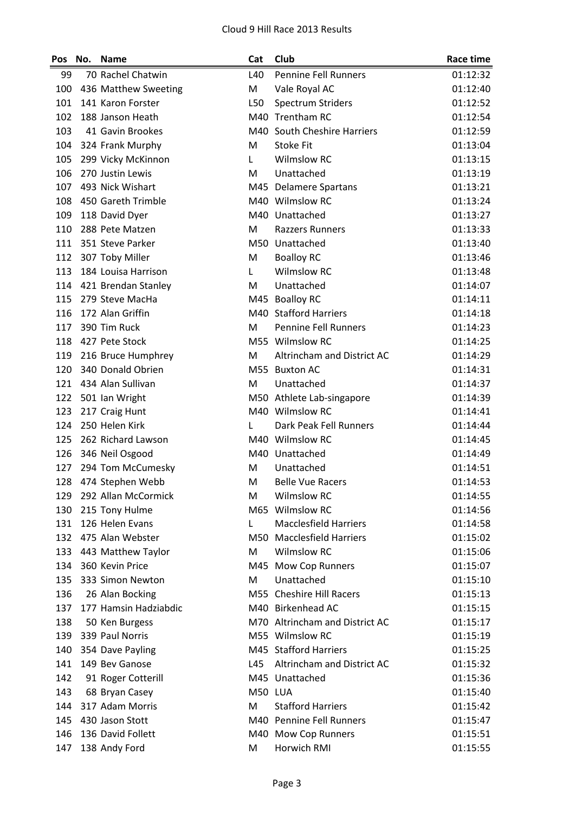| Pos | No. | <b>Name</b>           | Cat     | Club                           | Race time |
|-----|-----|-----------------------|---------|--------------------------------|-----------|
| 99  |     | 70 Rachel Chatwin     | L40     | <b>Pennine Fell Runners</b>    | 01:12:32  |
| 100 |     | 436 Matthew Sweeting  | M       | Vale Royal AC                  | 01:12:40  |
| 101 |     | 141 Karon Forster     | L50     | <b>Spectrum Striders</b>       | 01:12:52  |
| 102 |     | 188 Janson Heath      |         | M40 Trentham RC                | 01:12:54  |
| 103 |     | 41 Gavin Brookes      |         | M40 South Cheshire Harriers    | 01:12:59  |
| 104 |     | 324 Frank Murphy      | M       | <b>Stoke Fit</b>               | 01:13:04  |
| 105 |     | 299 Vicky McKinnon    | L       | <b>Wilmslow RC</b>             | 01:13:15  |
| 106 |     | 270 Justin Lewis      | M       | Unattached                     | 01:13:19  |
| 107 |     | 493 Nick Wishart      |         | M45 Delamere Spartans          | 01:13:21  |
| 108 |     | 450 Gareth Trimble    |         | M40 Wilmslow RC                | 01:13:24  |
| 109 |     | 118 David Dyer        |         | M40 Unattached                 | 01:13:27  |
| 110 |     | 288 Pete Matzen       | M       | <b>Razzers Runners</b>         | 01:13:33  |
| 111 |     | 351 Steve Parker      |         | M50 Unattached                 | 01:13:40  |
| 112 |     | 307 Toby Miller       | M       | <b>Boalloy RC</b>              | 01:13:46  |
| 113 |     | 184 Louisa Harrison   | L       | <b>Wilmslow RC</b>             | 01:13:48  |
| 114 |     | 421 Brendan Stanley   | M       | Unattached                     | 01:14:07  |
| 115 |     | 279 Steve MacHa       |         | M45 Boalloy RC                 | 01:14:11  |
| 116 |     | 172 Alan Griffin      |         | M40 Stafford Harriers          | 01:14:18  |
| 117 |     | 390 Tim Ruck          | M       | <b>Pennine Fell Runners</b>    | 01:14:23  |
| 118 |     | 427 Pete Stock        |         | M55 Wilmslow RC                | 01:14:25  |
| 119 |     | 216 Bruce Humphrey    | M       | Altrincham and District AC     | 01:14:29  |
| 120 |     | 340 Donald Obrien     |         | M55 Buxton AC                  | 01:14:31  |
| 121 |     | 434 Alan Sullivan     | M       | Unattached                     | 01:14:37  |
| 122 |     | 501 Ian Wright        |         | M50 Athlete Lab-singapore      | 01:14:39  |
| 123 |     | 217 Craig Hunt        |         | M40 Wilmslow RC                | 01:14:41  |
| 124 |     | 250 Helen Kirk        | L       | Dark Peak Fell Runners         | 01:14:44  |
| 125 |     | 262 Richard Lawson    |         | M40 Wilmslow RC                | 01:14:45  |
| 126 |     | 346 Neil Osgood       |         | M40 Unattached                 | 01:14:49  |
| 127 |     | 294 Tom McCumesky     | M       | Unattached                     | 01:14:51  |
| 128 |     | 474 Stephen Webb      | M       | <b>Belle Vue Racers</b>        | 01:14:53  |
| 129 |     | 292 Allan McCormick   | М       | <b>Wilmslow RC</b>             | 01:14:55  |
| 130 |     | 215 Tony Hulme        |         | M65 Wilmslow RC                | 01:14:56  |
| 131 |     | 126 Helen Evans       | L       | <b>Macclesfield Harriers</b>   | 01:14:58  |
| 132 |     | 475 Alan Webster      |         | M50 Macclesfield Harriers      | 01:15:02  |
| 133 |     | 443 Matthew Taylor    | M       | <b>Wilmslow RC</b>             | 01:15:06  |
| 134 |     | 360 Kevin Price       |         | M45 Mow Cop Runners            | 01:15:07  |
| 135 |     | 333 Simon Newton      | M       | Unattached                     | 01:15:10  |
| 136 |     | 26 Alan Bocking       |         | M55 Cheshire Hill Racers       | 01:15:13  |
| 137 |     | 177 Hamsin Hadziabdic |         | M40 Birkenhead AC              | 01:15:15  |
| 138 |     | 50 Ken Burgess        |         | M70 Altrincham and District AC | 01:15:17  |
| 139 |     | 339 Paul Norris       |         | M55 Wilmslow RC                | 01:15:19  |
| 140 |     | 354 Dave Payling      |         | M45 Stafford Harriers          | 01:15:25  |
| 141 |     | 149 Bev Ganose        | L45     | Altrincham and District AC     | 01:15:32  |
| 142 |     | 91 Roger Cotterill    |         | M45 Unattached                 | 01:15:36  |
| 143 |     | 68 Bryan Casey        | M50 LUA |                                | 01:15:40  |
| 144 |     | 317 Adam Morris       | M       | <b>Stafford Harriers</b>       | 01:15:42  |
| 145 |     | 430 Jason Stott       |         | M40 Pennine Fell Runners       | 01:15:47  |
| 146 |     | 136 David Follett     |         | M40 Mow Cop Runners            | 01:15:51  |
| 147 |     | 138 Andy Ford         | M       | Horwich RMI                    | 01:15:55  |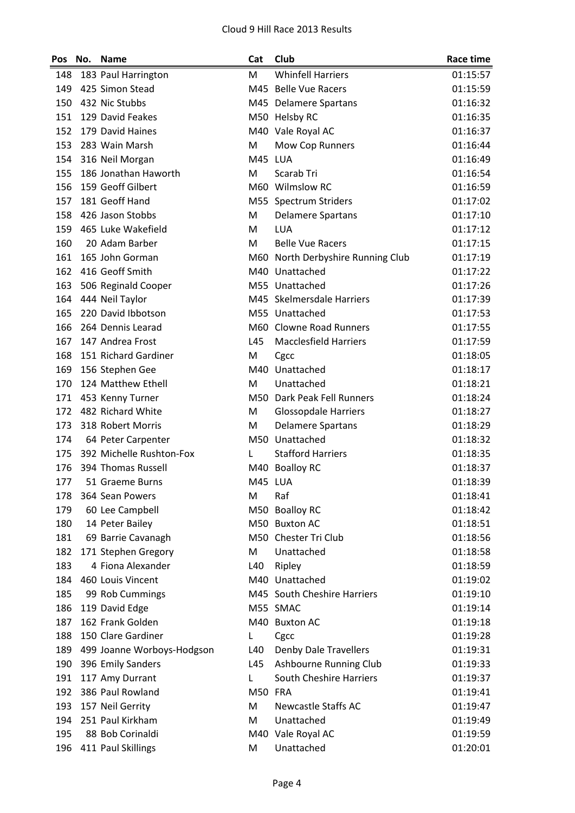| Pos | No. | <b>Name</b>                | Cat      | Club                              | <b>Race time</b> |
|-----|-----|----------------------------|----------|-----------------------------------|------------------|
| 148 |     | 183 Paul Harrington        | м        | <b>Whinfell Harriers</b>          | 01:15:57         |
| 149 |     | 425 Simon Stead            |          | M45 Belle Vue Racers              | 01:15:59         |
| 150 |     | 432 Nic Stubbs             |          | M45 Delamere Spartans             | 01:16:32         |
| 151 |     | 129 David Feakes           |          | M50 Helsby RC                     | 01:16:35         |
| 152 |     | 179 David Haines           |          | M40 Vale Royal AC                 | 01:16:37         |
| 153 |     | 283 Wain Marsh             | M        | Mow Cop Runners                   | 01:16:44         |
| 154 |     | 316 Neil Morgan            | M45 LUA  |                                   | 01:16:49         |
| 155 |     | 186 Jonathan Haworth       | M        | Scarab Tri                        | 01:16:54         |
| 156 |     | 159 Geoff Gilbert          |          | M60 Wilmslow RC                   | 01:16:59         |
| 157 |     | 181 Geoff Hand             |          | M55 Spectrum Striders             | 01:17:02         |
| 158 |     | 426 Jason Stobbs           | M        | <b>Delamere Spartans</b>          | 01:17:10         |
| 159 |     | 465 Luke Wakefield         | M        | <b>LUA</b>                        | 01:17:12         |
| 160 |     | 20 Adam Barber             | M        | <b>Belle Vue Racers</b>           | 01:17:15         |
| 161 |     | 165 John Gorman            |          | M60 North Derbyshire Running Club | 01:17:19         |
| 162 |     | 416 Geoff Smith            |          | M40 Unattached                    | 01:17:22         |
| 163 |     | 506 Reginald Cooper        |          | M55 Unattached                    | 01:17:26         |
| 164 |     | 444 Neil Taylor            |          | M45 Skelmersdale Harriers         | 01:17:39         |
| 165 |     | 220 David Ibbotson         |          | M55 Unattached                    | 01:17:53         |
| 166 |     | 264 Dennis Learad          |          | M60 Clowne Road Runners           | 01:17:55         |
| 167 |     | 147 Andrea Frost           | L45      | <b>Macclesfield Harriers</b>      | 01:17:59         |
| 168 |     | 151 Richard Gardiner       | M        | Cgcc                              | 01:18:05         |
| 169 |     | 156 Stephen Gee            |          | M40 Unattached                    | 01:18:17         |
| 170 |     | 124 Matthew Ethell         | M        | Unattached                        | 01:18:21         |
| 171 |     | 453 Kenny Turner           |          | M50 Dark Peak Fell Runners        | 01:18:24         |
| 172 |     | 482 Richard White          | M        | <b>Glossopdale Harriers</b>       | 01:18:27         |
| 173 |     | 318 Robert Morris          | M        | <b>Delamere Spartans</b>          | 01:18:29         |
| 174 |     | 64 Peter Carpenter         |          | M50 Unattached                    | 01:18:32         |
| 175 |     | 392 Michelle Rushton-Fox   | L        | <b>Stafford Harriers</b>          | 01:18:35         |
| 176 |     | 394 Thomas Russell         |          | M40 Boalloy RC                    | 01:18:37         |
| 177 |     | 51 Graeme Burns            | M45 LUA  |                                   | 01:18:39         |
| 178 |     | 364 Sean Powers            | M        | Raf                               | 01:18:41         |
| 179 |     | 60 Lee Campbell            |          | M50 Boalloy RC                    | 01:18:42         |
| 180 |     | 14 Peter Bailey            |          | M50 Buxton AC                     | 01:18:51         |
| 181 |     | 69 Barrie Cavanagh         |          | M50 Chester Tri Club              | 01:18:56         |
| 182 |     | 171 Stephen Gregory        | M        | Unattached                        | 01:18:58         |
| 183 |     | 4 Fiona Alexander          | L40      | Ripley                            | 01:18:59         |
| 184 |     | 460 Louis Vincent          |          | M40 Unattached                    | 01:19:02         |
| 185 |     | 99 Rob Cummings            |          | M45 South Cheshire Harriers       | 01:19:10         |
| 186 |     | 119 David Edge             |          | M55 SMAC                          | 01:19:14         |
| 187 |     | 162 Frank Golden           |          | M40 Buxton AC                     | 01:19:18         |
| 188 |     | 150 Clare Gardiner         |          |                                   | 01:19:28         |
| 189 |     |                            | L<br>L40 | Cgcc                              | 01:19:31         |
| 190 |     | 499 Joanne Worboys-Hodgson | L45      | <b>Denby Dale Travellers</b>      |                  |
|     |     | 396 Emily Sanders          |          | Ashbourne Running Club            | 01:19:33         |
| 191 |     | 117 Amy Durrant            | Г        | <b>South Cheshire Harriers</b>    | 01:19:37         |
| 192 |     | 386 Paul Rowland           | M50 FRA  |                                   | 01:19:41         |
| 193 |     | 157 Neil Gerrity           | M        | <b>Newcastle Staffs AC</b>        | 01:19:47         |
| 194 |     | 251 Paul Kirkham           | M        | Unattached                        | 01:19:49         |
| 195 |     | 88 Bob Corinaldi           |          | M40 Vale Royal AC                 | 01:19:59         |
| 196 |     | 411 Paul Skillings         | M        | Unattached                        | 01:20:01         |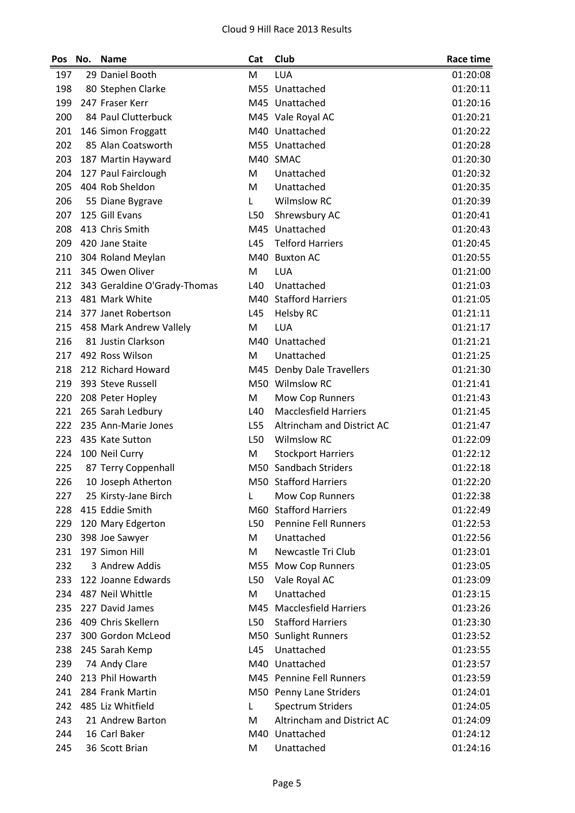| 29 Daniel Booth<br>M<br><b>LUA</b><br>197<br>01:20:08<br>198<br>80 Stephen Clarke<br>M55 Unattached<br>01:20:11<br>199<br>247 Fraser Kerr<br>M45 Unattached<br>01:20:16<br>200<br>84 Paul Clutterbuck<br>M45 Vale Royal AC<br>01:20:21<br>201<br>146 Simon Froggatt<br>M40 Unattached<br>01:20:22<br>202<br>M55 Unattached<br>85 Alan Coatsworth<br>01:20:28<br>M40 SMAC<br>01:20:30<br>203<br>187 Martin Hayward<br>204<br>127 Paul Fairclough<br>M<br>Unattached<br>01:20:32<br>404 Rob Sheldon<br>205<br>Unattached<br>01:20:35<br>м<br><b>Wilmslow RC</b><br>206<br>01:20:39<br>55 Diane Bygrave<br>L<br>125 Gill Evans<br>L50<br>Shrewsbury AC<br>207<br>01:20:41<br>413 Chris Smith<br>Unattached<br>01:20:43<br>208<br>M45<br>209<br>420 Jane Staite<br>L45<br><b>Telford Harriers</b><br>01:20:45<br>210<br>304 Roland Meylan<br>M40<br><b>Buxton AC</b><br>01:20:55<br>345 Owen Oliver<br><b>LUA</b><br>211<br>M<br>01:21:00<br>212<br>343 Geraldine O'Grady-Thomas<br>L40<br>Unattached<br>01:21:03<br>213<br>481 Mark White<br><b>Stafford Harriers</b><br>M40<br>01:21:05<br>214<br>377 Janet Robertson<br>L45<br>01:21:11<br><b>Helsby RC</b><br>215<br>458 Mark Andrew Vallely<br>M<br><b>LUA</b><br>01:21:17<br>Unattached<br>216<br>81 Justin Clarkson<br>M40<br>01:21:21<br>217<br>492 Ross Wilson<br>M<br>Unattached<br>01:21:25<br>212 Richard Howard<br>218<br><b>Denby Dale Travellers</b><br>01:21:30<br>M45<br>219<br>M50 Wilmslow RC<br>393 Steve Russell<br>01:21:41<br>220<br>208 Peter Hopley<br>M<br>Mow Cop Runners<br>01:21:43<br>221<br>L40<br><b>Macclesfield Harriers</b><br>265 Sarah Ledbury<br>01:21:45<br>222<br>235 Ann-Marie Jones<br>Altrincham and District AC<br>01:21:47<br>L55<br>223<br><b>Wilmslow RC</b><br>435 Kate Sutton<br>L50<br>01:22:09<br>224<br>100 Neil Curry<br>M<br><b>Stockport Harriers</b><br>01:22:12<br>Sandbach Striders<br>225<br>87 Terry Coppenhall<br>M50<br>01:22:18<br>M50 Stafford Harriers<br>226<br>01:22:20<br>10 Joseph Atherton<br>01:22:38<br>227<br>25 Kirsty-Jane Birch<br>L<br><b>Mow Cop Runners</b><br>228<br>415 Eddie Smith<br>M60<br><b>Stafford Harriers</b><br>01:22:49<br>120 Mary Edgerton<br>L50<br><b>Pennine Fell Runners</b><br>229<br>01:22:53<br>230<br>M<br>Unattached<br>01:22:56<br>398 Joe Sawyer<br>197 Simon Hill<br>Newcastle Tri Club<br>231<br>M<br>01:23:01<br>3 Andrew Addis<br>232<br>Mow Cop Runners<br>01:23:05<br>M55<br>233<br>122 Joanne Edwards<br>L50<br>Vale Royal AC<br>01:23:09<br>487 Neil Whittle<br>Unattached<br>234<br>M<br>01:23:15<br>235<br>227 David James<br>M45 Macclesfield Harriers<br>01:23:26<br>409 Chris Skellern<br><b>Stafford Harriers</b><br>236<br>L50<br>01:23:30<br>300 Gordon McLeod<br><b>Sunlight Runners</b><br>237<br>01:23:52<br>M50<br>Unattached<br>238<br>245 Sarah Kemp<br>L45<br>01:23:55<br>Unattached<br>239<br>74 Andy Clare<br>M40<br>01:23:57<br>213 Phil Howarth<br>M45 Pennine Fell Runners<br>240<br>01:23:59<br>241<br>284 Frank Martin<br>M50 Penny Lane Striders<br>01:24:01<br>242<br>485 Liz Whitfield<br><b>Spectrum Striders</b><br>01:24:05<br>L<br>Altrincham and District AC<br>243<br>21 Andrew Barton<br>M<br>01:24:09 | Pos | No. | <b>Name</b>   | Cat | Club           | <b>Race time</b> |
|-----------------------------------------------------------------------------------------------------------------------------------------------------------------------------------------------------------------------------------------------------------------------------------------------------------------------------------------------------------------------------------------------------------------------------------------------------------------------------------------------------------------------------------------------------------------------------------------------------------------------------------------------------------------------------------------------------------------------------------------------------------------------------------------------------------------------------------------------------------------------------------------------------------------------------------------------------------------------------------------------------------------------------------------------------------------------------------------------------------------------------------------------------------------------------------------------------------------------------------------------------------------------------------------------------------------------------------------------------------------------------------------------------------------------------------------------------------------------------------------------------------------------------------------------------------------------------------------------------------------------------------------------------------------------------------------------------------------------------------------------------------------------------------------------------------------------------------------------------------------------------------------------------------------------------------------------------------------------------------------------------------------------------------------------------------------------------------------------------------------------------------------------------------------------------------------------------------------------------------------------------------------------------------------------------------------------------------------------------------------------------------------------------------------------------------------------------------------------------------------------------------------------------------------------------------------------------------------------------------------------------------------------------------------------------------------------------------------------------------------------------------------------------------------------------------------------------------------------------------------------------------------------------------------------------------------------------------------------------------------------------------------------------------------------------------------------------------------------------------------------------------------------------------------------------------------------------|-----|-----|---------------|-----|----------------|------------------|
|                                                                                                                                                                                                                                                                                                                                                                                                                                                                                                                                                                                                                                                                                                                                                                                                                                                                                                                                                                                                                                                                                                                                                                                                                                                                                                                                                                                                                                                                                                                                                                                                                                                                                                                                                                                                                                                                                                                                                                                                                                                                                                                                                                                                                                                                                                                                                                                                                                                                                                                                                                                                                                                                                                                                                                                                                                                                                                                                                                                                                                                                                                                                                                                                     |     |     |               |     |                |                  |
|                                                                                                                                                                                                                                                                                                                                                                                                                                                                                                                                                                                                                                                                                                                                                                                                                                                                                                                                                                                                                                                                                                                                                                                                                                                                                                                                                                                                                                                                                                                                                                                                                                                                                                                                                                                                                                                                                                                                                                                                                                                                                                                                                                                                                                                                                                                                                                                                                                                                                                                                                                                                                                                                                                                                                                                                                                                                                                                                                                                                                                                                                                                                                                                                     |     |     |               |     |                |                  |
|                                                                                                                                                                                                                                                                                                                                                                                                                                                                                                                                                                                                                                                                                                                                                                                                                                                                                                                                                                                                                                                                                                                                                                                                                                                                                                                                                                                                                                                                                                                                                                                                                                                                                                                                                                                                                                                                                                                                                                                                                                                                                                                                                                                                                                                                                                                                                                                                                                                                                                                                                                                                                                                                                                                                                                                                                                                                                                                                                                                                                                                                                                                                                                                                     |     |     |               |     |                |                  |
|                                                                                                                                                                                                                                                                                                                                                                                                                                                                                                                                                                                                                                                                                                                                                                                                                                                                                                                                                                                                                                                                                                                                                                                                                                                                                                                                                                                                                                                                                                                                                                                                                                                                                                                                                                                                                                                                                                                                                                                                                                                                                                                                                                                                                                                                                                                                                                                                                                                                                                                                                                                                                                                                                                                                                                                                                                                                                                                                                                                                                                                                                                                                                                                                     |     |     |               |     |                |                  |
|                                                                                                                                                                                                                                                                                                                                                                                                                                                                                                                                                                                                                                                                                                                                                                                                                                                                                                                                                                                                                                                                                                                                                                                                                                                                                                                                                                                                                                                                                                                                                                                                                                                                                                                                                                                                                                                                                                                                                                                                                                                                                                                                                                                                                                                                                                                                                                                                                                                                                                                                                                                                                                                                                                                                                                                                                                                                                                                                                                                                                                                                                                                                                                                                     |     |     |               |     |                |                  |
|                                                                                                                                                                                                                                                                                                                                                                                                                                                                                                                                                                                                                                                                                                                                                                                                                                                                                                                                                                                                                                                                                                                                                                                                                                                                                                                                                                                                                                                                                                                                                                                                                                                                                                                                                                                                                                                                                                                                                                                                                                                                                                                                                                                                                                                                                                                                                                                                                                                                                                                                                                                                                                                                                                                                                                                                                                                                                                                                                                                                                                                                                                                                                                                                     |     |     |               |     |                |                  |
|                                                                                                                                                                                                                                                                                                                                                                                                                                                                                                                                                                                                                                                                                                                                                                                                                                                                                                                                                                                                                                                                                                                                                                                                                                                                                                                                                                                                                                                                                                                                                                                                                                                                                                                                                                                                                                                                                                                                                                                                                                                                                                                                                                                                                                                                                                                                                                                                                                                                                                                                                                                                                                                                                                                                                                                                                                                                                                                                                                                                                                                                                                                                                                                                     |     |     |               |     |                |                  |
|                                                                                                                                                                                                                                                                                                                                                                                                                                                                                                                                                                                                                                                                                                                                                                                                                                                                                                                                                                                                                                                                                                                                                                                                                                                                                                                                                                                                                                                                                                                                                                                                                                                                                                                                                                                                                                                                                                                                                                                                                                                                                                                                                                                                                                                                                                                                                                                                                                                                                                                                                                                                                                                                                                                                                                                                                                                                                                                                                                                                                                                                                                                                                                                                     |     |     |               |     |                |                  |
|                                                                                                                                                                                                                                                                                                                                                                                                                                                                                                                                                                                                                                                                                                                                                                                                                                                                                                                                                                                                                                                                                                                                                                                                                                                                                                                                                                                                                                                                                                                                                                                                                                                                                                                                                                                                                                                                                                                                                                                                                                                                                                                                                                                                                                                                                                                                                                                                                                                                                                                                                                                                                                                                                                                                                                                                                                                                                                                                                                                                                                                                                                                                                                                                     |     |     |               |     |                |                  |
|                                                                                                                                                                                                                                                                                                                                                                                                                                                                                                                                                                                                                                                                                                                                                                                                                                                                                                                                                                                                                                                                                                                                                                                                                                                                                                                                                                                                                                                                                                                                                                                                                                                                                                                                                                                                                                                                                                                                                                                                                                                                                                                                                                                                                                                                                                                                                                                                                                                                                                                                                                                                                                                                                                                                                                                                                                                                                                                                                                                                                                                                                                                                                                                                     |     |     |               |     |                |                  |
|                                                                                                                                                                                                                                                                                                                                                                                                                                                                                                                                                                                                                                                                                                                                                                                                                                                                                                                                                                                                                                                                                                                                                                                                                                                                                                                                                                                                                                                                                                                                                                                                                                                                                                                                                                                                                                                                                                                                                                                                                                                                                                                                                                                                                                                                                                                                                                                                                                                                                                                                                                                                                                                                                                                                                                                                                                                                                                                                                                                                                                                                                                                                                                                                     |     |     |               |     |                |                  |
|                                                                                                                                                                                                                                                                                                                                                                                                                                                                                                                                                                                                                                                                                                                                                                                                                                                                                                                                                                                                                                                                                                                                                                                                                                                                                                                                                                                                                                                                                                                                                                                                                                                                                                                                                                                                                                                                                                                                                                                                                                                                                                                                                                                                                                                                                                                                                                                                                                                                                                                                                                                                                                                                                                                                                                                                                                                                                                                                                                                                                                                                                                                                                                                                     |     |     |               |     |                |                  |
|                                                                                                                                                                                                                                                                                                                                                                                                                                                                                                                                                                                                                                                                                                                                                                                                                                                                                                                                                                                                                                                                                                                                                                                                                                                                                                                                                                                                                                                                                                                                                                                                                                                                                                                                                                                                                                                                                                                                                                                                                                                                                                                                                                                                                                                                                                                                                                                                                                                                                                                                                                                                                                                                                                                                                                                                                                                                                                                                                                                                                                                                                                                                                                                                     |     |     |               |     |                |                  |
|                                                                                                                                                                                                                                                                                                                                                                                                                                                                                                                                                                                                                                                                                                                                                                                                                                                                                                                                                                                                                                                                                                                                                                                                                                                                                                                                                                                                                                                                                                                                                                                                                                                                                                                                                                                                                                                                                                                                                                                                                                                                                                                                                                                                                                                                                                                                                                                                                                                                                                                                                                                                                                                                                                                                                                                                                                                                                                                                                                                                                                                                                                                                                                                                     |     |     |               |     |                |                  |
|                                                                                                                                                                                                                                                                                                                                                                                                                                                                                                                                                                                                                                                                                                                                                                                                                                                                                                                                                                                                                                                                                                                                                                                                                                                                                                                                                                                                                                                                                                                                                                                                                                                                                                                                                                                                                                                                                                                                                                                                                                                                                                                                                                                                                                                                                                                                                                                                                                                                                                                                                                                                                                                                                                                                                                                                                                                                                                                                                                                                                                                                                                                                                                                                     |     |     |               |     |                |                  |
|                                                                                                                                                                                                                                                                                                                                                                                                                                                                                                                                                                                                                                                                                                                                                                                                                                                                                                                                                                                                                                                                                                                                                                                                                                                                                                                                                                                                                                                                                                                                                                                                                                                                                                                                                                                                                                                                                                                                                                                                                                                                                                                                                                                                                                                                                                                                                                                                                                                                                                                                                                                                                                                                                                                                                                                                                                                                                                                                                                                                                                                                                                                                                                                                     |     |     |               |     |                |                  |
|                                                                                                                                                                                                                                                                                                                                                                                                                                                                                                                                                                                                                                                                                                                                                                                                                                                                                                                                                                                                                                                                                                                                                                                                                                                                                                                                                                                                                                                                                                                                                                                                                                                                                                                                                                                                                                                                                                                                                                                                                                                                                                                                                                                                                                                                                                                                                                                                                                                                                                                                                                                                                                                                                                                                                                                                                                                                                                                                                                                                                                                                                                                                                                                                     |     |     |               |     |                |                  |
|                                                                                                                                                                                                                                                                                                                                                                                                                                                                                                                                                                                                                                                                                                                                                                                                                                                                                                                                                                                                                                                                                                                                                                                                                                                                                                                                                                                                                                                                                                                                                                                                                                                                                                                                                                                                                                                                                                                                                                                                                                                                                                                                                                                                                                                                                                                                                                                                                                                                                                                                                                                                                                                                                                                                                                                                                                                                                                                                                                                                                                                                                                                                                                                                     |     |     |               |     |                |                  |
|                                                                                                                                                                                                                                                                                                                                                                                                                                                                                                                                                                                                                                                                                                                                                                                                                                                                                                                                                                                                                                                                                                                                                                                                                                                                                                                                                                                                                                                                                                                                                                                                                                                                                                                                                                                                                                                                                                                                                                                                                                                                                                                                                                                                                                                                                                                                                                                                                                                                                                                                                                                                                                                                                                                                                                                                                                                                                                                                                                                                                                                                                                                                                                                                     |     |     |               |     |                |                  |
|                                                                                                                                                                                                                                                                                                                                                                                                                                                                                                                                                                                                                                                                                                                                                                                                                                                                                                                                                                                                                                                                                                                                                                                                                                                                                                                                                                                                                                                                                                                                                                                                                                                                                                                                                                                                                                                                                                                                                                                                                                                                                                                                                                                                                                                                                                                                                                                                                                                                                                                                                                                                                                                                                                                                                                                                                                                                                                                                                                                                                                                                                                                                                                                                     |     |     |               |     |                |                  |
|                                                                                                                                                                                                                                                                                                                                                                                                                                                                                                                                                                                                                                                                                                                                                                                                                                                                                                                                                                                                                                                                                                                                                                                                                                                                                                                                                                                                                                                                                                                                                                                                                                                                                                                                                                                                                                                                                                                                                                                                                                                                                                                                                                                                                                                                                                                                                                                                                                                                                                                                                                                                                                                                                                                                                                                                                                                                                                                                                                                                                                                                                                                                                                                                     |     |     |               |     |                |                  |
|                                                                                                                                                                                                                                                                                                                                                                                                                                                                                                                                                                                                                                                                                                                                                                                                                                                                                                                                                                                                                                                                                                                                                                                                                                                                                                                                                                                                                                                                                                                                                                                                                                                                                                                                                                                                                                                                                                                                                                                                                                                                                                                                                                                                                                                                                                                                                                                                                                                                                                                                                                                                                                                                                                                                                                                                                                                                                                                                                                                                                                                                                                                                                                                                     |     |     |               |     |                |                  |
|                                                                                                                                                                                                                                                                                                                                                                                                                                                                                                                                                                                                                                                                                                                                                                                                                                                                                                                                                                                                                                                                                                                                                                                                                                                                                                                                                                                                                                                                                                                                                                                                                                                                                                                                                                                                                                                                                                                                                                                                                                                                                                                                                                                                                                                                                                                                                                                                                                                                                                                                                                                                                                                                                                                                                                                                                                                                                                                                                                                                                                                                                                                                                                                                     |     |     |               |     |                |                  |
|                                                                                                                                                                                                                                                                                                                                                                                                                                                                                                                                                                                                                                                                                                                                                                                                                                                                                                                                                                                                                                                                                                                                                                                                                                                                                                                                                                                                                                                                                                                                                                                                                                                                                                                                                                                                                                                                                                                                                                                                                                                                                                                                                                                                                                                                                                                                                                                                                                                                                                                                                                                                                                                                                                                                                                                                                                                                                                                                                                                                                                                                                                                                                                                                     |     |     |               |     |                |                  |
|                                                                                                                                                                                                                                                                                                                                                                                                                                                                                                                                                                                                                                                                                                                                                                                                                                                                                                                                                                                                                                                                                                                                                                                                                                                                                                                                                                                                                                                                                                                                                                                                                                                                                                                                                                                                                                                                                                                                                                                                                                                                                                                                                                                                                                                                                                                                                                                                                                                                                                                                                                                                                                                                                                                                                                                                                                                                                                                                                                                                                                                                                                                                                                                                     |     |     |               |     |                |                  |
|                                                                                                                                                                                                                                                                                                                                                                                                                                                                                                                                                                                                                                                                                                                                                                                                                                                                                                                                                                                                                                                                                                                                                                                                                                                                                                                                                                                                                                                                                                                                                                                                                                                                                                                                                                                                                                                                                                                                                                                                                                                                                                                                                                                                                                                                                                                                                                                                                                                                                                                                                                                                                                                                                                                                                                                                                                                                                                                                                                                                                                                                                                                                                                                                     |     |     |               |     |                |                  |
|                                                                                                                                                                                                                                                                                                                                                                                                                                                                                                                                                                                                                                                                                                                                                                                                                                                                                                                                                                                                                                                                                                                                                                                                                                                                                                                                                                                                                                                                                                                                                                                                                                                                                                                                                                                                                                                                                                                                                                                                                                                                                                                                                                                                                                                                                                                                                                                                                                                                                                                                                                                                                                                                                                                                                                                                                                                                                                                                                                                                                                                                                                                                                                                                     |     |     |               |     |                |                  |
|                                                                                                                                                                                                                                                                                                                                                                                                                                                                                                                                                                                                                                                                                                                                                                                                                                                                                                                                                                                                                                                                                                                                                                                                                                                                                                                                                                                                                                                                                                                                                                                                                                                                                                                                                                                                                                                                                                                                                                                                                                                                                                                                                                                                                                                                                                                                                                                                                                                                                                                                                                                                                                                                                                                                                                                                                                                                                                                                                                                                                                                                                                                                                                                                     |     |     |               |     |                |                  |
|                                                                                                                                                                                                                                                                                                                                                                                                                                                                                                                                                                                                                                                                                                                                                                                                                                                                                                                                                                                                                                                                                                                                                                                                                                                                                                                                                                                                                                                                                                                                                                                                                                                                                                                                                                                                                                                                                                                                                                                                                                                                                                                                                                                                                                                                                                                                                                                                                                                                                                                                                                                                                                                                                                                                                                                                                                                                                                                                                                                                                                                                                                                                                                                                     |     |     |               |     |                |                  |
|                                                                                                                                                                                                                                                                                                                                                                                                                                                                                                                                                                                                                                                                                                                                                                                                                                                                                                                                                                                                                                                                                                                                                                                                                                                                                                                                                                                                                                                                                                                                                                                                                                                                                                                                                                                                                                                                                                                                                                                                                                                                                                                                                                                                                                                                                                                                                                                                                                                                                                                                                                                                                                                                                                                                                                                                                                                                                                                                                                                                                                                                                                                                                                                                     |     |     |               |     |                |                  |
|                                                                                                                                                                                                                                                                                                                                                                                                                                                                                                                                                                                                                                                                                                                                                                                                                                                                                                                                                                                                                                                                                                                                                                                                                                                                                                                                                                                                                                                                                                                                                                                                                                                                                                                                                                                                                                                                                                                                                                                                                                                                                                                                                                                                                                                                                                                                                                                                                                                                                                                                                                                                                                                                                                                                                                                                                                                                                                                                                                                                                                                                                                                                                                                                     |     |     |               |     |                |                  |
|                                                                                                                                                                                                                                                                                                                                                                                                                                                                                                                                                                                                                                                                                                                                                                                                                                                                                                                                                                                                                                                                                                                                                                                                                                                                                                                                                                                                                                                                                                                                                                                                                                                                                                                                                                                                                                                                                                                                                                                                                                                                                                                                                                                                                                                                                                                                                                                                                                                                                                                                                                                                                                                                                                                                                                                                                                                                                                                                                                                                                                                                                                                                                                                                     |     |     |               |     |                |                  |
|                                                                                                                                                                                                                                                                                                                                                                                                                                                                                                                                                                                                                                                                                                                                                                                                                                                                                                                                                                                                                                                                                                                                                                                                                                                                                                                                                                                                                                                                                                                                                                                                                                                                                                                                                                                                                                                                                                                                                                                                                                                                                                                                                                                                                                                                                                                                                                                                                                                                                                                                                                                                                                                                                                                                                                                                                                                                                                                                                                                                                                                                                                                                                                                                     |     |     |               |     |                |                  |
|                                                                                                                                                                                                                                                                                                                                                                                                                                                                                                                                                                                                                                                                                                                                                                                                                                                                                                                                                                                                                                                                                                                                                                                                                                                                                                                                                                                                                                                                                                                                                                                                                                                                                                                                                                                                                                                                                                                                                                                                                                                                                                                                                                                                                                                                                                                                                                                                                                                                                                                                                                                                                                                                                                                                                                                                                                                                                                                                                                                                                                                                                                                                                                                                     |     |     |               |     |                |                  |
|                                                                                                                                                                                                                                                                                                                                                                                                                                                                                                                                                                                                                                                                                                                                                                                                                                                                                                                                                                                                                                                                                                                                                                                                                                                                                                                                                                                                                                                                                                                                                                                                                                                                                                                                                                                                                                                                                                                                                                                                                                                                                                                                                                                                                                                                                                                                                                                                                                                                                                                                                                                                                                                                                                                                                                                                                                                                                                                                                                                                                                                                                                                                                                                                     |     |     |               |     |                |                  |
|                                                                                                                                                                                                                                                                                                                                                                                                                                                                                                                                                                                                                                                                                                                                                                                                                                                                                                                                                                                                                                                                                                                                                                                                                                                                                                                                                                                                                                                                                                                                                                                                                                                                                                                                                                                                                                                                                                                                                                                                                                                                                                                                                                                                                                                                                                                                                                                                                                                                                                                                                                                                                                                                                                                                                                                                                                                                                                                                                                                                                                                                                                                                                                                                     |     |     |               |     |                |                  |
|                                                                                                                                                                                                                                                                                                                                                                                                                                                                                                                                                                                                                                                                                                                                                                                                                                                                                                                                                                                                                                                                                                                                                                                                                                                                                                                                                                                                                                                                                                                                                                                                                                                                                                                                                                                                                                                                                                                                                                                                                                                                                                                                                                                                                                                                                                                                                                                                                                                                                                                                                                                                                                                                                                                                                                                                                                                                                                                                                                                                                                                                                                                                                                                                     |     |     |               |     |                |                  |
|                                                                                                                                                                                                                                                                                                                                                                                                                                                                                                                                                                                                                                                                                                                                                                                                                                                                                                                                                                                                                                                                                                                                                                                                                                                                                                                                                                                                                                                                                                                                                                                                                                                                                                                                                                                                                                                                                                                                                                                                                                                                                                                                                                                                                                                                                                                                                                                                                                                                                                                                                                                                                                                                                                                                                                                                                                                                                                                                                                                                                                                                                                                                                                                                     |     |     |               |     |                |                  |
|                                                                                                                                                                                                                                                                                                                                                                                                                                                                                                                                                                                                                                                                                                                                                                                                                                                                                                                                                                                                                                                                                                                                                                                                                                                                                                                                                                                                                                                                                                                                                                                                                                                                                                                                                                                                                                                                                                                                                                                                                                                                                                                                                                                                                                                                                                                                                                                                                                                                                                                                                                                                                                                                                                                                                                                                                                                                                                                                                                                                                                                                                                                                                                                                     |     |     |               |     |                |                  |
|                                                                                                                                                                                                                                                                                                                                                                                                                                                                                                                                                                                                                                                                                                                                                                                                                                                                                                                                                                                                                                                                                                                                                                                                                                                                                                                                                                                                                                                                                                                                                                                                                                                                                                                                                                                                                                                                                                                                                                                                                                                                                                                                                                                                                                                                                                                                                                                                                                                                                                                                                                                                                                                                                                                                                                                                                                                                                                                                                                                                                                                                                                                                                                                                     |     |     |               |     |                |                  |
|                                                                                                                                                                                                                                                                                                                                                                                                                                                                                                                                                                                                                                                                                                                                                                                                                                                                                                                                                                                                                                                                                                                                                                                                                                                                                                                                                                                                                                                                                                                                                                                                                                                                                                                                                                                                                                                                                                                                                                                                                                                                                                                                                                                                                                                                                                                                                                                                                                                                                                                                                                                                                                                                                                                                                                                                                                                                                                                                                                                                                                                                                                                                                                                                     |     |     |               |     |                |                  |
|                                                                                                                                                                                                                                                                                                                                                                                                                                                                                                                                                                                                                                                                                                                                                                                                                                                                                                                                                                                                                                                                                                                                                                                                                                                                                                                                                                                                                                                                                                                                                                                                                                                                                                                                                                                                                                                                                                                                                                                                                                                                                                                                                                                                                                                                                                                                                                                                                                                                                                                                                                                                                                                                                                                                                                                                                                                                                                                                                                                                                                                                                                                                                                                                     |     |     |               |     |                |                  |
|                                                                                                                                                                                                                                                                                                                                                                                                                                                                                                                                                                                                                                                                                                                                                                                                                                                                                                                                                                                                                                                                                                                                                                                                                                                                                                                                                                                                                                                                                                                                                                                                                                                                                                                                                                                                                                                                                                                                                                                                                                                                                                                                                                                                                                                                                                                                                                                                                                                                                                                                                                                                                                                                                                                                                                                                                                                                                                                                                                                                                                                                                                                                                                                                     |     |     |               |     |                |                  |
|                                                                                                                                                                                                                                                                                                                                                                                                                                                                                                                                                                                                                                                                                                                                                                                                                                                                                                                                                                                                                                                                                                                                                                                                                                                                                                                                                                                                                                                                                                                                                                                                                                                                                                                                                                                                                                                                                                                                                                                                                                                                                                                                                                                                                                                                                                                                                                                                                                                                                                                                                                                                                                                                                                                                                                                                                                                                                                                                                                                                                                                                                                                                                                                                     |     |     |               |     |                |                  |
|                                                                                                                                                                                                                                                                                                                                                                                                                                                                                                                                                                                                                                                                                                                                                                                                                                                                                                                                                                                                                                                                                                                                                                                                                                                                                                                                                                                                                                                                                                                                                                                                                                                                                                                                                                                                                                                                                                                                                                                                                                                                                                                                                                                                                                                                                                                                                                                                                                                                                                                                                                                                                                                                                                                                                                                                                                                                                                                                                                                                                                                                                                                                                                                                     |     |     |               |     |                |                  |
|                                                                                                                                                                                                                                                                                                                                                                                                                                                                                                                                                                                                                                                                                                                                                                                                                                                                                                                                                                                                                                                                                                                                                                                                                                                                                                                                                                                                                                                                                                                                                                                                                                                                                                                                                                                                                                                                                                                                                                                                                                                                                                                                                                                                                                                                                                                                                                                                                                                                                                                                                                                                                                                                                                                                                                                                                                                                                                                                                                                                                                                                                                                                                                                                     |     |     |               |     |                |                  |
|                                                                                                                                                                                                                                                                                                                                                                                                                                                                                                                                                                                                                                                                                                                                                                                                                                                                                                                                                                                                                                                                                                                                                                                                                                                                                                                                                                                                                                                                                                                                                                                                                                                                                                                                                                                                                                                                                                                                                                                                                                                                                                                                                                                                                                                                                                                                                                                                                                                                                                                                                                                                                                                                                                                                                                                                                                                                                                                                                                                                                                                                                                                                                                                                     |     |     |               |     |                |                  |
|                                                                                                                                                                                                                                                                                                                                                                                                                                                                                                                                                                                                                                                                                                                                                                                                                                                                                                                                                                                                                                                                                                                                                                                                                                                                                                                                                                                                                                                                                                                                                                                                                                                                                                                                                                                                                                                                                                                                                                                                                                                                                                                                                                                                                                                                                                                                                                                                                                                                                                                                                                                                                                                                                                                                                                                                                                                                                                                                                                                                                                                                                                                                                                                                     | 244 |     | 16 Carl Baker |     | M40 Unattached | 01:24:12         |
| Unattached<br>245<br>36 Scott Brian<br>M<br>01:24:16                                                                                                                                                                                                                                                                                                                                                                                                                                                                                                                                                                                                                                                                                                                                                                                                                                                                                                                                                                                                                                                                                                                                                                                                                                                                                                                                                                                                                                                                                                                                                                                                                                                                                                                                                                                                                                                                                                                                                                                                                                                                                                                                                                                                                                                                                                                                                                                                                                                                                                                                                                                                                                                                                                                                                                                                                                                                                                                                                                                                                                                                                                                                                |     |     |               |     |                |                  |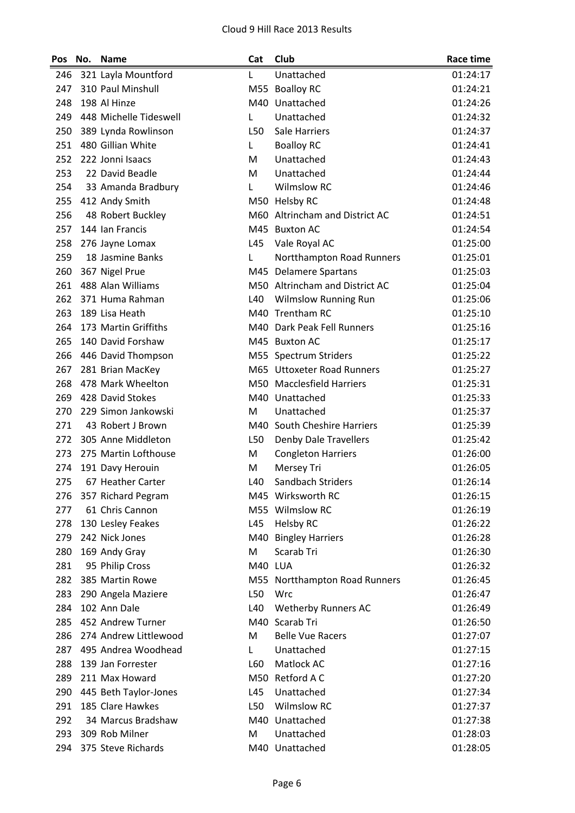| Pos | No. | <b>Name</b>            | Cat             | Club                           | <b>Race time</b> |
|-----|-----|------------------------|-----------------|--------------------------------|------------------|
| 246 |     | 321 Layla Mountford    | L               | Unattached                     | 01:24:17         |
| 247 |     | 310 Paul Minshull      |                 | M55 Boalloy RC                 | 01:24:21         |
| 248 |     | 198 Al Hinze           |                 | M40 Unattached                 | 01:24:26         |
| 249 |     | 448 Michelle Tideswell | Г               | Unattached                     | 01:24:32         |
| 250 |     | 389 Lynda Rowlinson    | L50             | Sale Harriers                  | 01:24:37         |
| 251 |     | 480 Gillian White      | Г               | <b>Boalloy RC</b>              | 01:24:41         |
| 252 |     | 222 Jonni Isaacs       | M               | Unattached                     | 01:24:43         |
| 253 |     | 22 David Beadle        | M               | Unattached                     | 01:24:44         |
| 254 |     | 33 Amanda Bradbury     | L               | <b>Wilmslow RC</b>             | 01:24:46         |
| 255 |     | 412 Andy Smith         |                 | M50 Helsby RC                  | 01:24:48         |
| 256 |     | 48 Robert Buckley      |                 | M60 Altrincham and District AC | 01:24:51         |
| 257 |     | 144 Ian Francis        | M45             | <b>Buxton AC</b>               | 01:24:54         |
| 258 |     | 276 Jayne Lomax        | L45             | Vale Royal AC                  | 01:25:00         |
| 259 |     | 18 Jasmine Banks       | L               | Nortthampton Road Runners      | 01:25:01         |
| 260 |     | 367 Nigel Prue         |                 | M45 Delamere Spartans          | 01:25:03         |
| 261 |     | 488 Alan Williams      |                 | M50 Altrincham and District AC | 01:25:04         |
| 262 |     | 371 Huma Rahman        | L40             | <b>Wilmslow Running Run</b>    | 01:25:06         |
| 263 |     | 189 Lisa Heath         |                 | M40 Trentham RC                | 01:25:10         |
| 264 |     | 173 Martin Griffiths   |                 | M40 Dark Peak Fell Runners     | 01:25:16         |
| 265 |     | 140 David Forshaw      |                 | M45 Buxton AC                  | 01:25:17         |
| 266 |     | 446 David Thompson     |                 | M55 Spectrum Striders          | 01:25:22         |
| 267 |     | 281 Brian MacKey       |                 | M65 Uttoxeter Road Runners     | 01:25:27         |
| 268 |     | 478 Mark Wheelton      |                 | M50 Macclesfield Harriers      | 01:25:31         |
| 269 |     | 428 David Stokes       |                 | M40 Unattached                 | 01:25:33         |
| 270 |     | 229 Simon Jankowski    | M               | Unattached                     | 01:25:37         |
| 271 |     | 43 Robert J Brown      | M40             | South Cheshire Harriers        | 01:25:39         |
| 272 |     | 305 Anne Middleton     | L50             | <b>Denby Dale Travellers</b>   | 01:25:42         |
| 273 |     | 275 Martin Lofthouse   | M               | <b>Congleton Harriers</b>      | 01:26:00         |
| 274 |     | 191 Davy Herouin       | M               | Mersey Tri                     | 01:26:05         |
| 275 |     | 67 Heather Carter      | L <sub>40</sub> | Sandbach Striders              | 01:26:14         |
| 276 |     | 357 Richard Pegram     |                 | M45 Wirksworth RC              | 01:26:15         |
| 277 |     | 61 Chris Cannon        |                 | M55 Wilmslow RC                | 01:26:19         |
| 278 |     | 130 Lesley Feakes      | L45             | <b>Helsby RC</b>               | 01:26:22         |
| 279 |     | 242 Nick Jones         | M40             | <b>Bingley Harriers</b>        | 01:26:28         |
| 280 |     | 169 Andy Gray          | M               | Scarab Tri                     | 01:26:30         |
| 281 |     | 95 Philip Cross        | M40 LUA         |                                | 01:26:32         |
| 282 |     | 385 Martin Rowe        |                 | M55 Nortthampton Road Runners  | 01:26:45         |
| 283 |     | 290 Angela Maziere     | L50             | Wrc                            | 01:26:47         |
| 284 |     | 102 Ann Dale           | L40             | <b>Wetherby Runners AC</b>     | 01:26:49         |
| 285 |     | 452 Andrew Turner      |                 | M40 Scarab Tri                 | 01:26:50         |
| 286 |     | 274 Andrew Littlewood  | M               | <b>Belle Vue Racers</b>        | 01:27:07         |
| 287 |     | 495 Andrea Woodhead    | Г               | Unattached                     | 01:27:15         |
| 288 |     | 139 Jan Forrester      | L60             | Matlock AC                     | 01:27:16         |
| 289 |     | 211 Max Howard         |                 | M50 Retford A C                | 01:27:20         |
| 290 |     | 445 Beth Taylor-Jones  | L45             | Unattached                     | 01:27:34         |
| 291 |     | 185 Clare Hawkes       | L50             | <b>Wilmslow RC</b>             | 01:27:37         |
| 292 |     | 34 Marcus Bradshaw     |                 | M40 Unattached                 | 01:27:38         |
| 293 |     | 309 Rob Milner         | M               | Unattached                     | 01:28:03         |
| 294 |     | 375 Steve Richards     |                 | M40 Unattached                 | 01:28:05         |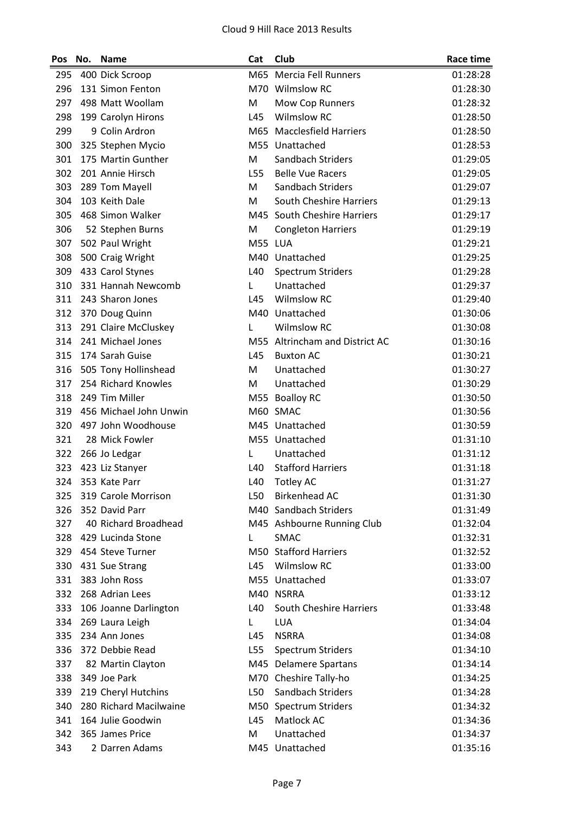| M65 Mercia Fell Runners<br>01:28:28<br>295<br>400 Dick Scroop<br>M70 Wilmslow RC<br>296<br>131 Simon Fenton<br>01:28:30<br>297<br>498 Matt Woollam<br>M<br>Mow Cop Runners<br>01:28:32<br><b>Wilmslow RC</b><br>298<br>L45<br>01:28:50<br>199 Carolyn Hirons<br>299<br>9 Colin Ardron<br><b>Macclesfield Harriers</b><br>M65<br>01:28:50<br>300<br>325 Stephen Mycio<br>M55 Unattached<br>01:28:53<br>301<br>175 Martin Gunther<br>Sandbach Striders<br>M<br>01:29:05<br>302<br>201 Annie Hirsch<br>L55<br><b>Belle Vue Racers</b><br>01:29:05<br>Sandbach Striders<br>303<br>289 Tom Mayell<br>M<br>01:29:07<br>304<br>103 Keith Dale<br><b>South Cheshire Harriers</b><br>M<br>01:29:13<br>305<br>M45 South Cheshire Harriers<br>468 Simon Walker<br>01:29:17<br>306<br>52 Stephen Burns<br>01:29:19<br>M<br><b>Congleton Harriers</b><br>M55 LUA<br>307<br>502 Paul Wright<br>01:29:21<br>500 Craig Wright<br>M40 Unattached<br>308<br>01:29:25<br>309<br>433 Carol Stynes<br>L40<br><b>Spectrum Striders</b><br>01:29:28<br>331 Hannah Newcomb<br>Unattached<br>310<br>01:29:37<br>L<br><b>Wilmslow RC</b><br>311<br>243 Sharon Jones<br>L45<br>01:29:40<br>M40 Unattached<br>312<br>370 Doug Quinn<br>01:30:06<br>291 Claire McCluskey<br><b>Wilmslow RC</b><br>313<br>01:30:08<br>L<br>314<br>241 Michael Jones<br>M55 Altrincham and District AC<br>01:30:16<br>315<br>174 Sarah Guise<br>L45<br><b>Buxton AC</b><br>01:30:21<br>316<br>505 Tony Hollinshead<br>M<br>Unattached<br>01:30:27<br>254 Richard Knowles<br>317<br>M<br>Unattached<br>01:30:29<br>318<br>249 Tim Miller<br>M55 Boalloy RC<br>01:30:50<br>456 Michael John Unwin<br>319<br>M60 SMAC<br>01:30:56<br>320<br>497 John Woodhouse<br>M45 Unattached<br>01:30:59<br>321<br>28 Mick Fowler<br>M55 Unattached<br>01:31:10<br>322<br>266 Jo Ledgar<br>Unattached<br>01:31:12<br>L<br><b>Stafford Harriers</b><br>323<br>L40<br>01:31:18<br>423 Liz Stanyer<br>353 Kate Parr<br>L40<br>324<br><b>Totley AC</b><br>01:31:27<br>319 Carole Morrison<br><b>Birkenhead AC</b><br>01:31:30<br>325<br>L50<br>326<br>352 David Parr<br>M40 Sandbach Striders<br>01:31:49<br>327<br>40 Richard Broadhead<br>M45 Ashbourne Running Club<br>01:32:04<br>328<br>429 Lucinda Stone<br>SMAC<br>01:32:31<br>L<br>M50 Stafford Harriers<br>454 Steve Turner<br>329<br>01:32:52<br><b>Wilmslow RC</b><br>330<br>431 Sue Strang<br>L45<br>01:33:00<br>383 John Ross<br>M55 Unattached<br>331<br>01:33:07<br>332<br>268 Adrian Lees<br>M40 NSRRA<br>01:33:12<br>South Cheshire Harriers<br>333<br>106 Joanne Darlington<br>L40<br>01:33:48<br>334<br>269 Laura Leigh<br><b>LUA</b><br>01:34:04<br>L<br>234 Ann Jones<br>335<br>L45<br><b>NSRRA</b><br>01:34:08<br>336<br>372 Debbie Read<br>L55<br><b>Spectrum Striders</b><br>01:34:10<br>337<br>82 Martin Clayton<br><b>Delamere Spartans</b><br>01:34:14<br>M45<br>349 Joe Park<br>M70 Cheshire Tally-ho<br>338<br>01:34:25<br>219 Cheryl Hutchins<br>Sandbach Striders<br>339<br>L50<br>01:34:28<br>280 Richard Macilwaine<br>340<br>M50 Spectrum Striders<br>01:34:32<br>164 Julie Goodwin<br>Matlock AC<br>341<br>L45<br>01:34:36<br>342<br>365 James Price<br>Unattached<br>M<br>01:34:37<br>2 Darren Adams<br>M45 Unattached<br>343<br>01:35:16 | Pos | No. | <b>Name</b> | Cat | Club | <b>Race time</b> |
|-------------------------------------------------------------------------------------------------------------------------------------------------------------------------------------------------------------------------------------------------------------------------------------------------------------------------------------------------------------------------------------------------------------------------------------------------------------------------------------------------------------------------------------------------------------------------------------------------------------------------------------------------------------------------------------------------------------------------------------------------------------------------------------------------------------------------------------------------------------------------------------------------------------------------------------------------------------------------------------------------------------------------------------------------------------------------------------------------------------------------------------------------------------------------------------------------------------------------------------------------------------------------------------------------------------------------------------------------------------------------------------------------------------------------------------------------------------------------------------------------------------------------------------------------------------------------------------------------------------------------------------------------------------------------------------------------------------------------------------------------------------------------------------------------------------------------------------------------------------------------------------------------------------------------------------------------------------------------------------------------------------------------------------------------------------------------------------------------------------------------------------------------------------------------------------------------------------------------------------------------------------------------------------------------------------------------------------------------------------------------------------------------------------------------------------------------------------------------------------------------------------------------------------------------------------------------------------------------------------------------------------------------------------------------------------------------------------------------------------------------------------------------------------------------------------------------------------------------------------------------------------------------------------------------------------------------------------------------------------------------------------------------------------------------------------------------------------------------------------------------------------------------------------------------------------------------------------------------------------------------------------|-----|-----|-------------|-----|------|------------------|
|                                                                                                                                                                                                                                                                                                                                                                                                                                                                                                                                                                                                                                                                                                                                                                                                                                                                                                                                                                                                                                                                                                                                                                                                                                                                                                                                                                                                                                                                                                                                                                                                                                                                                                                                                                                                                                                                                                                                                                                                                                                                                                                                                                                                                                                                                                                                                                                                                                                                                                                                                                                                                                                                                                                                                                                                                                                                                                                                                                                                                                                                                                                                                                                                                                                             |     |     |             |     |      |                  |
|                                                                                                                                                                                                                                                                                                                                                                                                                                                                                                                                                                                                                                                                                                                                                                                                                                                                                                                                                                                                                                                                                                                                                                                                                                                                                                                                                                                                                                                                                                                                                                                                                                                                                                                                                                                                                                                                                                                                                                                                                                                                                                                                                                                                                                                                                                                                                                                                                                                                                                                                                                                                                                                                                                                                                                                                                                                                                                                                                                                                                                                                                                                                                                                                                                                             |     |     |             |     |      |                  |
|                                                                                                                                                                                                                                                                                                                                                                                                                                                                                                                                                                                                                                                                                                                                                                                                                                                                                                                                                                                                                                                                                                                                                                                                                                                                                                                                                                                                                                                                                                                                                                                                                                                                                                                                                                                                                                                                                                                                                                                                                                                                                                                                                                                                                                                                                                                                                                                                                                                                                                                                                                                                                                                                                                                                                                                                                                                                                                                                                                                                                                                                                                                                                                                                                                                             |     |     |             |     |      |                  |
|                                                                                                                                                                                                                                                                                                                                                                                                                                                                                                                                                                                                                                                                                                                                                                                                                                                                                                                                                                                                                                                                                                                                                                                                                                                                                                                                                                                                                                                                                                                                                                                                                                                                                                                                                                                                                                                                                                                                                                                                                                                                                                                                                                                                                                                                                                                                                                                                                                                                                                                                                                                                                                                                                                                                                                                                                                                                                                                                                                                                                                                                                                                                                                                                                                                             |     |     |             |     |      |                  |
|                                                                                                                                                                                                                                                                                                                                                                                                                                                                                                                                                                                                                                                                                                                                                                                                                                                                                                                                                                                                                                                                                                                                                                                                                                                                                                                                                                                                                                                                                                                                                                                                                                                                                                                                                                                                                                                                                                                                                                                                                                                                                                                                                                                                                                                                                                                                                                                                                                                                                                                                                                                                                                                                                                                                                                                                                                                                                                                                                                                                                                                                                                                                                                                                                                                             |     |     |             |     |      |                  |
|                                                                                                                                                                                                                                                                                                                                                                                                                                                                                                                                                                                                                                                                                                                                                                                                                                                                                                                                                                                                                                                                                                                                                                                                                                                                                                                                                                                                                                                                                                                                                                                                                                                                                                                                                                                                                                                                                                                                                                                                                                                                                                                                                                                                                                                                                                                                                                                                                                                                                                                                                                                                                                                                                                                                                                                                                                                                                                                                                                                                                                                                                                                                                                                                                                                             |     |     |             |     |      |                  |
|                                                                                                                                                                                                                                                                                                                                                                                                                                                                                                                                                                                                                                                                                                                                                                                                                                                                                                                                                                                                                                                                                                                                                                                                                                                                                                                                                                                                                                                                                                                                                                                                                                                                                                                                                                                                                                                                                                                                                                                                                                                                                                                                                                                                                                                                                                                                                                                                                                                                                                                                                                                                                                                                                                                                                                                                                                                                                                                                                                                                                                                                                                                                                                                                                                                             |     |     |             |     |      |                  |
|                                                                                                                                                                                                                                                                                                                                                                                                                                                                                                                                                                                                                                                                                                                                                                                                                                                                                                                                                                                                                                                                                                                                                                                                                                                                                                                                                                                                                                                                                                                                                                                                                                                                                                                                                                                                                                                                                                                                                                                                                                                                                                                                                                                                                                                                                                                                                                                                                                                                                                                                                                                                                                                                                                                                                                                                                                                                                                                                                                                                                                                                                                                                                                                                                                                             |     |     |             |     |      |                  |
|                                                                                                                                                                                                                                                                                                                                                                                                                                                                                                                                                                                                                                                                                                                                                                                                                                                                                                                                                                                                                                                                                                                                                                                                                                                                                                                                                                                                                                                                                                                                                                                                                                                                                                                                                                                                                                                                                                                                                                                                                                                                                                                                                                                                                                                                                                                                                                                                                                                                                                                                                                                                                                                                                                                                                                                                                                                                                                                                                                                                                                                                                                                                                                                                                                                             |     |     |             |     |      |                  |
|                                                                                                                                                                                                                                                                                                                                                                                                                                                                                                                                                                                                                                                                                                                                                                                                                                                                                                                                                                                                                                                                                                                                                                                                                                                                                                                                                                                                                                                                                                                                                                                                                                                                                                                                                                                                                                                                                                                                                                                                                                                                                                                                                                                                                                                                                                                                                                                                                                                                                                                                                                                                                                                                                                                                                                                                                                                                                                                                                                                                                                                                                                                                                                                                                                                             |     |     |             |     |      |                  |
|                                                                                                                                                                                                                                                                                                                                                                                                                                                                                                                                                                                                                                                                                                                                                                                                                                                                                                                                                                                                                                                                                                                                                                                                                                                                                                                                                                                                                                                                                                                                                                                                                                                                                                                                                                                                                                                                                                                                                                                                                                                                                                                                                                                                                                                                                                                                                                                                                                                                                                                                                                                                                                                                                                                                                                                                                                                                                                                                                                                                                                                                                                                                                                                                                                                             |     |     |             |     |      |                  |
|                                                                                                                                                                                                                                                                                                                                                                                                                                                                                                                                                                                                                                                                                                                                                                                                                                                                                                                                                                                                                                                                                                                                                                                                                                                                                                                                                                                                                                                                                                                                                                                                                                                                                                                                                                                                                                                                                                                                                                                                                                                                                                                                                                                                                                                                                                                                                                                                                                                                                                                                                                                                                                                                                                                                                                                                                                                                                                                                                                                                                                                                                                                                                                                                                                                             |     |     |             |     |      |                  |
|                                                                                                                                                                                                                                                                                                                                                                                                                                                                                                                                                                                                                                                                                                                                                                                                                                                                                                                                                                                                                                                                                                                                                                                                                                                                                                                                                                                                                                                                                                                                                                                                                                                                                                                                                                                                                                                                                                                                                                                                                                                                                                                                                                                                                                                                                                                                                                                                                                                                                                                                                                                                                                                                                                                                                                                                                                                                                                                                                                                                                                                                                                                                                                                                                                                             |     |     |             |     |      |                  |
|                                                                                                                                                                                                                                                                                                                                                                                                                                                                                                                                                                                                                                                                                                                                                                                                                                                                                                                                                                                                                                                                                                                                                                                                                                                                                                                                                                                                                                                                                                                                                                                                                                                                                                                                                                                                                                                                                                                                                                                                                                                                                                                                                                                                                                                                                                                                                                                                                                                                                                                                                                                                                                                                                                                                                                                                                                                                                                                                                                                                                                                                                                                                                                                                                                                             |     |     |             |     |      |                  |
|                                                                                                                                                                                                                                                                                                                                                                                                                                                                                                                                                                                                                                                                                                                                                                                                                                                                                                                                                                                                                                                                                                                                                                                                                                                                                                                                                                                                                                                                                                                                                                                                                                                                                                                                                                                                                                                                                                                                                                                                                                                                                                                                                                                                                                                                                                                                                                                                                                                                                                                                                                                                                                                                                                                                                                                                                                                                                                                                                                                                                                                                                                                                                                                                                                                             |     |     |             |     |      |                  |
|                                                                                                                                                                                                                                                                                                                                                                                                                                                                                                                                                                                                                                                                                                                                                                                                                                                                                                                                                                                                                                                                                                                                                                                                                                                                                                                                                                                                                                                                                                                                                                                                                                                                                                                                                                                                                                                                                                                                                                                                                                                                                                                                                                                                                                                                                                                                                                                                                                                                                                                                                                                                                                                                                                                                                                                                                                                                                                                                                                                                                                                                                                                                                                                                                                                             |     |     |             |     |      |                  |
|                                                                                                                                                                                                                                                                                                                                                                                                                                                                                                                                                                                                                                                                                                                                                                                                                                                                                                                                                                                                                                                                                                                                                                                                                                                                                                                                                                                                                                                                                                                                                                                                                                                                                                                                                                                                                                                                                                                                                                                                                                                                                                                                                                                                                                                                                                                                                                                                                                                                                                                                                                                                                                                                                                                                                                                                                                                                                                                                                                                                                                                                                                                                                                                                                                                             |     |     |             |     |      |                  |
|                                                                                                                                                                                                                                                                                                                                                                                                                                                                                                                                                                                                                                                                                                                                                                                                                                                                                                                                                                                                                                                                                                                                                                                                                                                                                                                                                                                                                                                                                                                                                                                                                                                                                                                                                                                                                                                                                                                                                                                                                                                                                                                                                                                                                                                                                                                                                                                                                                                                                                                                                                                                                                                                                                                                                                                                                                                                                                                                                                                                                                                                                                                                                                                                                                                             |     |     |             |     |      |                  |
|                                                                                                                                                                                                                                                                                                                                                                                                                                                                                                                                                                                                                                                                                                                                                                                                                                                                                                                                                                                                                                                                                                                                                                                                                                                                                                                                                                                                                                                                                                                                                                                                                                                                                                                                                                                                                                                                                                                                                                                                                                                                                                                                                                                                                                                                                                                                                                                                                                                                                                                                                                                                                                                                                                                                                                                                                                                                                                                                                                                                                                                                                                                                                                                                                                                             |     |     |             |     |      |                  |
|                                                                                                                                                                                                                                                                                                                                                                                                                                                                                                                                                                                                                                                                                                                                                                                                                                                                                                                                                                                                                                                                                                                                                                                                                                                                                                                                                                                                                                                                                                                                                                                                                                                                                                                                                                                                                                                                                                                                                                                                                                                                                                                                                                                                                                                                                                                                                                                                                                                                                                                                                                                                                                                                                                                                                                                                                                                                                                                                                                                                                                                                                                                                                                                                                                                             |     |     |             |     |      |                  |
|                                                                                                                                                                                                                                                                                                                                                                                                                                                                                                                                                                                                                                                                                                                                                                                                                                                                                                                                                                                                                                                                                                                                                                                                                                                                                                                                                                                                                                                                                                                                                                                                                                                                                                                                                                                                                                                                                                                                                                                                                                                                                                                                                                                                                                                                                                                                                                                                                                                                                                                                                                                                                                                                                                                                                                                                                                                                                                                                                                                                                                                                                                                                                                                                                                                             |     |     |             |     |      |                  |
|                                                                                                                                                                                                                                                                                                                                                                                                                                                                                                                                                                                                                                                                                                                                                                                                                                                                                                                                                                                                                                                                                                                                                                                                                                                                                                                                                                                                                                                                                                                                                                                                                                                                                                                                                                                                                                                                                                                                                                                                                                                                                                                                                                                                                                                                                                                                                                                                                                                                                                                                                                                                                                                                                                                                                                                                                                                                                                                                                                                                                                                                                                                                                                                                                                                             |     |     |             |     |      |                  |
|                                                                                                                                                                                                                                                                                                                                                                                                                                                                                                                                                                                                                                                                                                                                                                                                                                                                                                                                                                                                                                                                                                                                                                                                                                                                                                                                                                                                                                                                                                                                                                                                                                                                                                                                                                                                                                                                                                                                                                                                                                                                                                                                                                                                                                                                                                                                                                                                                                                                                                                                                                                                                                                                                                                                                                                                                                                                                                                                                                                                                                                                                                                                                                                                                                                             |     |     |             |     |      |                  |
|                                                                                                                                                                                                                                                                                                                                                                                                                                                                                                                                                                                                                                                                                                                                                                                                                                                                                                                                                                                                                                                                                                                                                                                                                                                                                                                                                                                                                                                                                                                                                                                                                                                                                                                                                                                                                                                                                                                                                                                                                                                                                                                                                                                                                                                                                                                                                                                                                                                                                                                                                                                                                                                                                                                                                                                                                                                                                                                                                                                                                                                                                                                                                                                                                                                             |     |     |             |     |      |                  |
|                                                                                                                                                                                                                                                                                                                                                                                                                                                                                                                                                                                                                                                                                                                                                                                                                                                                                                                                                                                                                                                                                                                                                                                                                                                                                                                                                                                                                                                                                                                                                                                                                                                                                                                                                                                                                                                                                                                                                                                                                                                                                                                                                                                                                                                                                                                                                                                                                                                                                                                                                                                                                                                                                                                                                                                                                                                                                                                                                                                                                                                                                                                                                                                                                                                             |     |     |             |     |      |                  |
|                                                                                                                                                                                                                                                                                                                                                                                                                                                                                                                                                                                                                                                                                                                                                                                                                                                                                                                                                                                                                                                                                                                                                                                                                                                                                                                                                                                                                                                                                                                                                                                                                                                                                                                                                                                                                                                                                                                                                                                                                                                                                                                                                                                                                                                                                                                                                                                                                                                                                                                                                                                                                                                                                                                                                                                                                                                                                                                                                                                                                                                                                                                                                                                                                                                             |     |     |             |     |      |                  |
|                                                                                                                                                                                                                                                                                                                                                                                                                                                                                                                                                                                                                                                                                                                                                                                                                                                                                                                                                                                                                                                                                                                                                                                                                                                                                                                                                                                                                                                                                                                                                                                                                                                                                                                                                                                                                                                                                                                                                                                                                                                                                                                                                                                                                                                                                                                                                                                                                                                                                                                                                                                                                                                                                                                                                                                                                                                                                                                                                                                                                                                                                                                                                                                                                                                             |     |     |             |     |      |                  |
|                                                                                                                                                                                                                                                                                                                                                                                                                                                                                                                                                                                                                                                                                                                                                                                                                                                                                                                                                                                                                                                                                                                                                                                                                                                                                                                                                                                                                                                                                                                                                                                                                                                                                                                                                                                                                                                                                                                                                                                                                                                                                                                                                                                                                                                                                                                                                                                                                                                                                                                                                                                                                                                                                                                                                                                                                                                                                                                                                                                                                                                                                                                                                                                                                                                             |     |     |             |     |      |                  |
|                                                                                                                                                                                                                                                                                                                                                                                                                                                                                                                                                                                                                                                                                                                                                                                                                                                                                                                                                                                                                                                                                                                                                                                                                                                                                                                                                                                                                                                                                                                                                                                                                                                                                                                                                                                                                                                                                                                                                                                                                                                                                                                                                                                                                                                                                                                                                                                                                                                                                                                                                                                                                                                                                                                                                                                                                                                                                                                                                                                                                                                                                                                                                                                                                                                             |     |     |             |     |      |                  |
|                                                                                                                                                                                                                                                                                                                                                                                                                                                                                                                                                                                                                                                                                                                                                                                                                                                                                                                                                                                                                                                                                                                                                                                                                                                                                                                                                                                                                                                                                                                                                                                                                                                                                                                                                                                                                                                                                                                                                                                                                                                                                                                                                                                                                                                                                                                                                                                                                                                                                                                                                                                                                                                                                                                                                                                                                                                                                                                                                                                                                                                                                                                                                                                                                                                             |     |     |             |     |      |                  |
|                                                                                                                                                                                                                                                                                                                                                                                                                                                                                                                                                                                                                                                                                                                                                                                                                                                                                                                                                                                                                                                                                                                                                                                                                                                                                                                                                                                                                                                                                                                                                                                                                                                                                                                                                                                                                                                                                                                                                                                                                                                                                                                                                                                                                                                                                                                                                                                                                                                                                                                                                                                                                                                                                                                                                                                                                                                                                                                                                                                                                                                                                                                                                                                                                                                             |     |     |             |     |      |                  |
|                                                                                                                                                                                                                                                                                                                                                                                                                                                                                                                                                                                                                                                                                                                                                                                                                                                                                                                                                                                                                                                                                                                                                                                                                                                                                                                                                                                                                                                                                                                                                                                                                                                                                                                                                                                                                                                                                                                                                                                                                                                                                                                                                                                                                                                                                                                                                                                                                                                                                                                                                                                                                                                                                                                                                                                                                                                                                                                                                                                                                                                                                                                                                                                                                                                             |     |     |             |     |      |                  |
|                                                                                                                                                                                                                                                                                                                                                                                                                                                                                                                                                                                                                                                                                                                                                                                                                                                                                                                                                                                                                                                                                                                                                                                                                                                                                                                                                                                                                                                                                                                                                                                                                                                                                                                                                                                                                                                                                                                                                                                                                                                                                                                                                                                                                                                                                                                                                                                                                                                                                                                                                                                                                                                                                                                                                                                                                                                                                                                                                                                                                                                                                                                                                                                                                                                             |     |     |             |     |      |                  |
|                                                                                                                                                                                                                                                                                                                                                                                                                                                                                                                                                                                                                                                                                                                                                                                                                                                                                                                                                                                                                                                                                                                                                                                                                                                                                                                                                                                                                                                                                                                                                                                                                                                                                                                                                                                                                                                                                                                                                                                                                                                                                                                                                                                                                                                                                                                                                                                                                                                                                                                                                                                                                                                                                                                                                                                                                                                                                                                                                                                                                                                                                                                                                                                                                                                             |     |     |             |     |      |                  |
|                                                                                                                                                                                                                                                                                                                                                                                                                                                                                                                                                                                                                                                                                                                                                                                                                                                                                                                                                                                                                                                                                                                                                                                                                                                                                                                                                                                                                                                                                                                                                                                                                                                                                                                                                                                                                                                                                                                                                                                                                                                                                                                                                                                                                                                                                                                                                                                                                                                                                                                                                                                                                                                                                                                                                                                                                                                                                                                                                                                                                                                                                                                                                                                                                                                             |     |     |             |     |      |                  |
|                                                                                                                                                                                                                                                                                                                                                                                                                                                                                                                                                                                                                                                                                                                                                                                                                                                                                                                                                                                                                                                                                                                                                                                                                                                                                                                                                                                                                                                                                                                                                                                                                                                                                                                                                                                                                                                                                                                                                                                                                                                                                                                                                                                                                                                                                                                                                                                                                                                                                                                                                                                                                                                                                                                                                                                                                                                                                                                                                                                                                                                                                                                                                                                                                                                             |     |     |             |     |      |                  |
|                                                                                                                                                                                                                                                                                                                                                                                                                                                                                                                                                                                                                                                                                                                                                                                                                                                                                                                                                                                                                                                                                                                                                                                                                                                                                                                                                                                                                                                                                                                                                                                                                                                                                                                                                                                                                                                                                                                                                                                                                                                                                                                                                                                                                                                                                                                                                                                                                                                                                                                                                                                                                                                                                                                                                                                                                                                                                                                                                                                                                                                                                                                                                                                                                                                             |     |     |             |     |      |                  |
|                                                                                                                                                                                                                                                                                                                                                                                                                                                                                                                                                                                                                                                                                                                                                                                                                                                                                                                                                                                                                                                                                                                                                                                                                                                                                                                                                                                                                                                                                                                                                                                                                                                                                                                                                                                                                                                                                                                                                                                                                                                                                                                                                                                                                                                                                                                                                                                                                                                                                                                                                                                                                                                                                                                                                                                                                                                                                                                                                                                                                                                                                                                                                                                                                                                             |     |     |             |     |      |                  |
|                                                                                                                                                                                                                                                                                                                                                                                                                                                                                                                                                                                                                                                                                                                                                                                                                                                                                                                                                                                                                                                                                                                                                                                                                                                                                                                                                                                                                                                                                                                                                                                                                                                                                                                                                                                                                                                                                                                                                                                                                                                                                                                                                                                                                                                                                                                                                                                                                                                                                                                                                                                                                                                                                                                                                                                                                                                                                                                                                                                                                                                                                                                                                                                                                                                             |     |     |             |     |      |                  |
|                                                                                                                                                                                                                                                                                                                                                                                                                                                                                                                                                                                                                                                                                                                                                                                                                                                                                                                                                                                                                                                                                                                                                                                                                                                                                                                                                                                                                                                                                                                                                                                                                                                                                                                                                                                                                                                                                                                                                                                                                                                                                                                                                                                                                                                                                                                                                                                                                                                                                                                                                                                                                                                                                                                                                                                                                                                                                                                                                                                                                                                                                                                                                                                                                                                             |     |     |             |     |      |                  |
|                                                                                                                                                                                                                                                                                                                                                                                                                                                                                                                                                                                                                                                                                                                                                                                                                                                                                                                                                                                                                                                                                                                                                                                                                                                                                                                                                                                                                                                                                                                                                                                                                                                                                                                                                                                                                                                                                                                                                                                                                                                                                                                                                                                                                                                                                                                                                                                                                                                                                                                                                                                                                                                                                                                                                                                                                                                                                                                                                                                                                                                                                                                                                                                                                                                             |     |     |             |     |      |                  |
|                                                                                                                                                                                                                                                                                                                                                                                                                                                                                                                                                                                                                                                                                                                                                                                                                                                                                                                                                                                                                                                                                                                                                                                                                                                                                                                                                                                                                                                                                                                                                                                                                                                                                                                                                                                                                                                                                                                                                                                                                                                                                                                                                                                                                                                                                                                                                                                                                                                                                                                                                                                                                                                                                                                                                                                                                                                                                                                                                                                                                                                                                                                                                                                                                                                             |     |     |             |     |      |                  |
|                                                                                                                                                                                                                                                                                                                                                                                                                                                                                                                                                                                                                                                                                                                                                                                                                                                                                                                                                                                                                                                                                                                                                                                                                                                                                                                                                                                                                                                                                                                                                                                                                                                                                                                                                                                                                                                                                                                                                                                                                                                                                                                                                                                                                                                                                                                                                                                                                                                                                                                                                                                                                                                                                                                                                                                                                                                                                                                                                                                                                                                                                                                                                                                                                                                             |     |     |             |     |      |                  |
|                                                                                                                                                                                                                                                                                                                                                                                                                                                                                                                                                                                                                                                                                                                                                                                                                                                                                                                                                                                                                                                                                                                                                                                                                                                                                                                                                                                                                                                                                                                                                                                                                                                                                                                                                                                                                                                                                                                                                                                                                                                                                                                                                                                                                                                                                                                                                                                                                                                                                                                                                                                                                                                                                                                                                                                                                                                                                                                                                                                                                                                                                                                                                                                                                                                             |     |     |             |     |      |                  |
|                                                                                                                                                                                                                                                                                                                                                                                                                                                                                                                                                                                                                                                                                                                                                                                                                                                                                                                                                                                                                                                                                                                                                                                                                                                                                                                                                                                                                                                                                                                                                                                                                                                                                                                                                                                                                                                                                                                                                                                                                                                                                                                                                                                                                                                                                                                                                                                                                                                                                                                                                                                                                                                                                                                                                                                                                                                                                                                                                                                                                                                                                                                                                                                                                                                             |     |     |             |     |      |                  |
|                                                                                                                                                                                                                                                                                                                                                                                                                                                                                                                                                                                                                                                                                                                                                                                                                                                                                                                                                                                                                                                                                                                                                                                                                                                                                                                                                                                                                                                                                                                                                                                                                                                                                                                                                                                                                                                                                                                                                                                                                                                                                                                                                                                                                                                                                                                                                                                                                                                                                                                                                                                                                                                                                                                                                                                                                                                                                                                                                                                                                                                                                                                                                                                                                                                             |     |     |             |     |      |                  |
|                                                                                                                                                                                                                                                                                                                                                                                                                                                                                                                                                                                                                                                                                                                                                                                                                                                                                                                                                                                                                                                                                                                                                                                                                                                                                                                                                                                                                                                                                                                                                                                                                                                                                                                                                                                                                                                                                                                                                                                                                                                                                                                                                                                                                                                                                                                                                                                                                                                                                                                                                                                                                                                                                                                                                                                                                                                                                                                                                                                                                                                                                                                                                                                                                                                             |     |     |             |     |      |                  |
|                                                                                                                                                                                                                                                                                                                                                                                                                                                                                                                                                                                                                                                                                                                                                                                                                                                                                                                                                                                                                                                                                                                                                                                                                                                                                                                                                                                                                                                                                                                                                                                                                                                                                                                                                                                                                                                                                                                                                                                                                                                                                                                                                                                                                                                                                                                                                                                                                                                                                                                                                                                                                                                                                                                                                                                                                                                                                                                                                                                                                                                                                                                                                                                                                                                             |     |     |             |     |      |                  |
|                                                                                                                                                                                                                                                                                                                                                                                                                                                                                                                                                                                                                                                                                                                                                                                                                                                                                                                                                                                                                                                                                                                                                                                                                                                                                                                                                                                                                                                                                                                                                                                                                                                                                                                                                                                                                                                                                                                                                                                                                                                                                                                                                                                                                                                                                                                                                                                                                                                                                                                                                                                                                                                                                                                                                                                                                                                                                                                                                                                                                                                                                                                                                                                                                                                             |     |     |             |     |      |                  |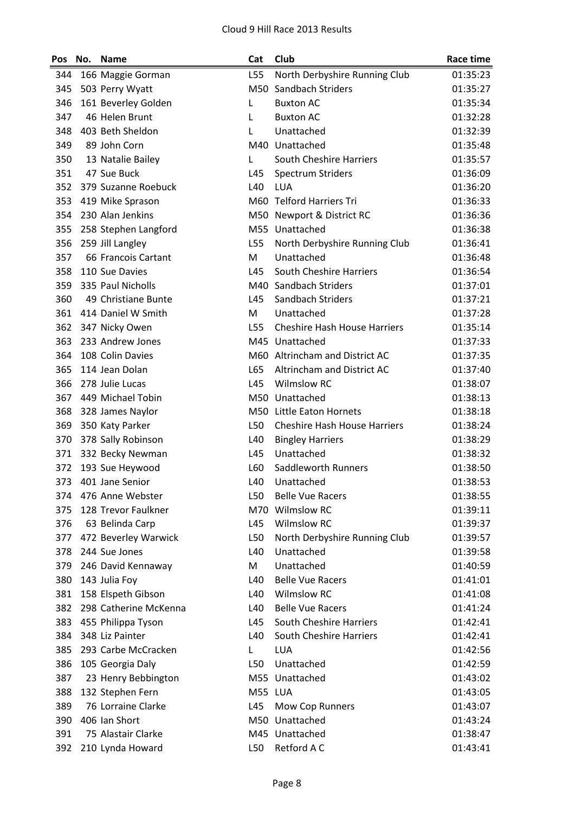| Pos | No. | <b>Name</b>           | Cat     | Club                                | <b>Race time</b> |
|-----|-----|-----------------------|---------|-------------------------------------|------------------|
| 344 |     | 166 Maggie Gorman     | L55     | North Derbyshire Running Club       | 01:35:23         |
| 345 |     | 503 Perry Wyatt       | M50     | Sandbach Striders                   | 01:35:27         |
| 346 |     | 161 Beverley Golden   | L       | <b>Buxton AC</b>                    | 01:35:34         |
| 347 |     | 46 Helen Brunt        | L       | <b>Buxton AC</b>                    | 01:32:28         |
| 348 |     | 403 Beth Sheldon      | L       | Unattached                          | 01:32:39         |
| 349 |     | 89 John Corn          |         | M40 Unattached                      | 01:35:48         |
| 350 |     | 13 Natalie Bailey     | L       | South Cheshire Harriers             | 01:35:57         |
| 351 |     | 47 Sue Buck           | L45     | <b>Spectrum Striders</b>            | 01:36:09         |
| 352 |     | 379 Suzanne Roebuck   | L40     | <b>LUA</b>                          | 01:36:20         |
| 353 |     | 419 Mike Sprason      |         | M60 Telford Harriers Tri            | 01:36:33         |
| 354 |     | 230 Alan Jenkins      |         | M50 Newport & District RC           | 01:36:36         |
| 355 |     | 258 Stephen Langford  | M55     | Unattached                          | 01:36:38         |
| 356 |     | 259 Jill Langley      | L55     | North Derbyshire Running Club       | 01:36:41         |
| 357 |     | 66 Francois Cartant   | M       | Unattached                          | 01:36:48         |
| 358 |     | 110 Sue Davies        | L45     | South Cheshire Harriers             | 01:36:54         |
| 359 |     | 335 Paul Nicholls     |         | M40 Sandbach Striders               | 01:37:01         |
| 360 |     | 49 Christiane Bunte   | L45     | Sandbach Striders                   | 01:37:21         |
| 361 |     | 414 Daniel W Smith    | M       | Unattached                          | 01:37:28         |
| 362 |     | 347 Nicky Owen        | L55     | <b>Cheshire Hash House Harriers</b> | 01:35:14         |
| 363 |     | 233 Andrew Jones      |         | M45 Unattached                      | 01:37:33         |
| 364 |     | 108 Colin Davies      | M60     | Altrincham and District AC          | 01:37:35         |
| 365 |     | 114 Jean Dolan        | L65     | Altrincham and District AC          | 01:37:40         |
| 366 |     | 278 Julie Lucas       | L45     | <b>Wilmslow RC</b>                  | 01:38:07         |
| 367 |     | 449 Michael Tobin     | M50     | Unattached                          | 01:38:13         |
| 368 |     | 328 James Naylor      |         | M50 Little Eaton Hornets            | 01:38:18         |
| 369 |     | 350 Katy Parker       | L50     | <b>Cheshire Hash House Harriers</b> | 01:38:24         |
| 370 |     | 378 Sally Robinson    | L40     | <b>Bingley Harriers</b>             | 01:38:29         |
| 371 |     | 332 Becky Newman      | L45     | Unattached                          | 01:38:32         |
| 372 |     | 193 Sue Heywood       | L60     | Saddleworth Runners                 | 01:38:50         |
| 373 |     | 401 Jane Senior       | L40     | Unattached                          | 01:38:53         |
| 374 |     | 476 Anne Webster      | L50     | <b>Belle Vue Racers</b>             | 01:38:55         |
| 375 |     | 128 Trevor Faulkner   |         | M70 Wilmslow RC                     | 01:39:11         |
| 376 |     | 63 Belinda Carp       | L45     | <b>Wilmslow RC</b>                  | 01:39:37         |
| 377 |     | 472 Beverley Warwick  | L50     | North Derbyshire Running Club       | 01:39:57         |
| 378 |     | 244 Sue Jones         | L40     | Unattached                          | 01:39:58         |
| 379 |     | 246 David Kennaway    | M       | Unattached                          | 01:40:59         |
| 380 |     | 143 Julia Foy         | L40     | <b>Belle Vue Racers</b>             | 01:41:01         |
| 381 |     | 158 Elspeth Gibson    | L40     | <b>Wilmslow RC</b>                  | 01:41:08         |
| 382 |     | 298 Catherine McKenna | L40     | <b>Belle Vue Racers</b>             | 01:41:24         |
| 383 |     | 455 Philippa Tyson    | L45     | <b>South Cheshire Harriers</b>      | 01:42:41         |
| 384 |     | 348 Liz Painter       | L40     | <b>South Cheshire Harriers</b>      | 01:42:41         |
| 385 |     | 293 Carbe McCracken   | L       | LUA                                 | 01:42:56         |
| 386 |     | 105 Georgia Daly      | L50     | Unattached                          | 01:42:59         |
| 387 |     | 23 Henry Bebbington   |         | M55 Unattached                      | 01:43:02         |
| 388 |     | 132 Stephen Fern      | M55 LUA |                                     | 01:43:05         |
| 389 |     | 76 Lorraine Clarke    | L45     | Mow Cop Runners                     | 01:43:07         |
| 390 |     | 406 Ian Short         | M50     | Unattached                          | 01:43:24         |
| 391 |     | 75 Alastair Clarke    |         | M45 Unattached                      | 01:38:47         |
| 392 |     | 210 Lynda Howard      | L50     | Retford A C                         | 01:43:41         |
|     |     |                       |         |                                     |                  |